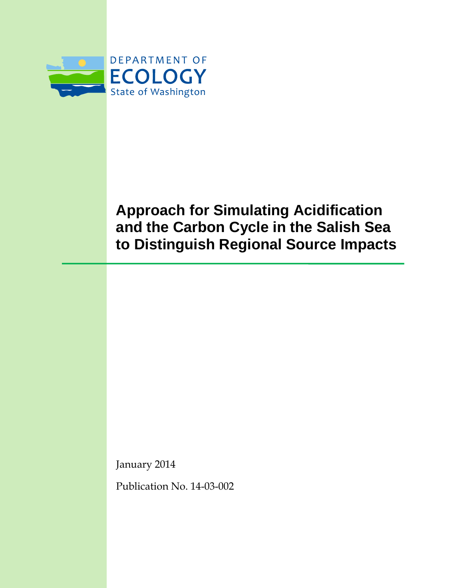

## **Approach for Simulating Acidification and the Carbon Cycle in the Salish Sea to Distinguish Regional Source Impacts**

January 2014

 $\overline{a}$ 

Publication No. 14-03-002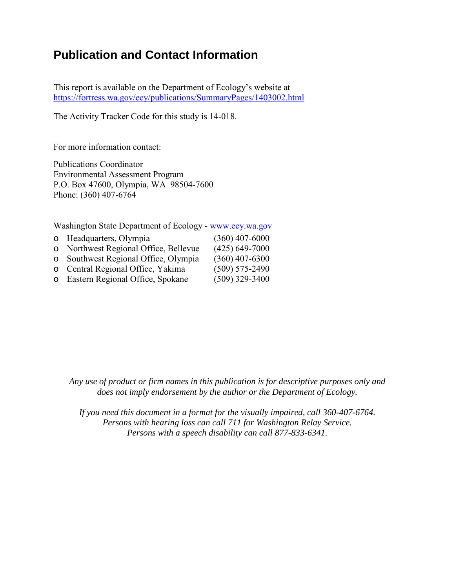#### **Publication and Contact Information**

This report is available on the Department of Ecology's website at <https://fortress.wa.gov/ecy/publications/SummaryPages/1403002.html>

The Activity Tracker Code for this study is 14-018.

For more information contact:

Publications Coordinator Environmental Assessment Program P.O. Box 47600, Olympia, WA 98504-7600 Phone: (360) 407-6764

Washington State Department of Ecology - [www.ecy.wa.gov](http://www.ecy.wa.gov/)

| o Headquarters, Olympia               | $(360)$ 407-6000   |
|---------------------------------------|--------------------|
| o Northwest Regional Office, Bellevue | $(425) 649 - 7000$ |
| o Southwest Regional Office, Olympia  | $(360)$ 407-6300   |
| o Central Regional Office, Yakima     | $(509) 575 - 2490$ |
| o Eastern Regional Office, Spokane    | $(509)$ 329-3400   |
|                                       |                    |

*Any use of product or firm names in this publication is for descriptive purposes only and does not imply endorsement by the author or the Department of Ecology.* 

*If you need this document in a format for the visually impaired, call 360-407-6764. Persons with hearing loss can call 711 for Washington Relay Service. Persons with a speech disability can call 877-833-6341.*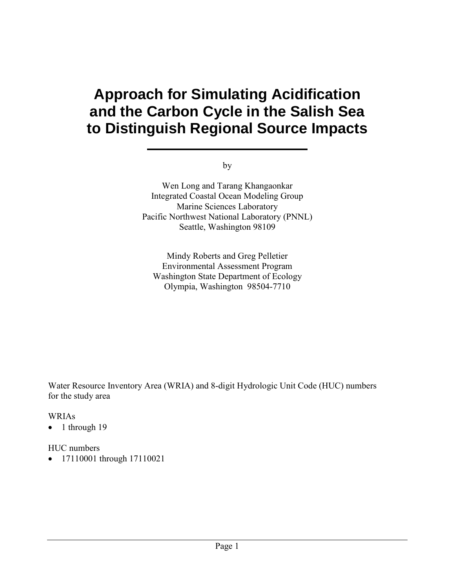## **Approach for Simulating Acidification and the Carbon Cycle in the Salish Sea to Distinguish Regional Source Impacts**

by

Wen Long and Tarang Khangaonkar Integrated Coastal Ocean Modeling Group Marine Sciences Laboratory Pacific Northwest National Laboratory (PNNL) Seattle, Washington 98109

Mindy Roberts and Greg Pelletier Environmental Assessment Program Washington State Department of Ecology Olympia, Washington 98504-7710

Water Resource Inventory Area (WRIA) and 8-digit Hydrologic Unit Code (HUC) numbers for the study area

#### WRIAs

• 1 through 19

HUC numbers

• 17110001 through 17110021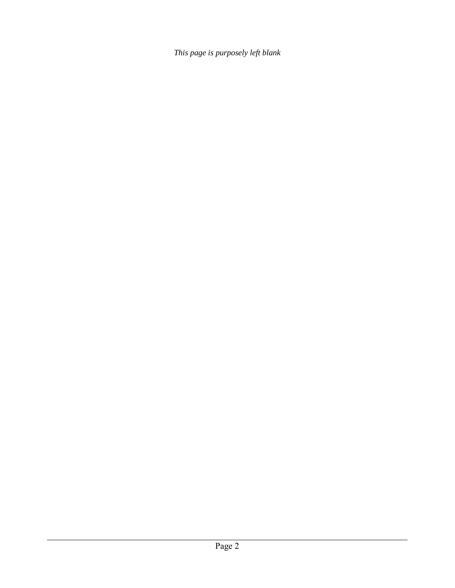*This page is purposely left blank*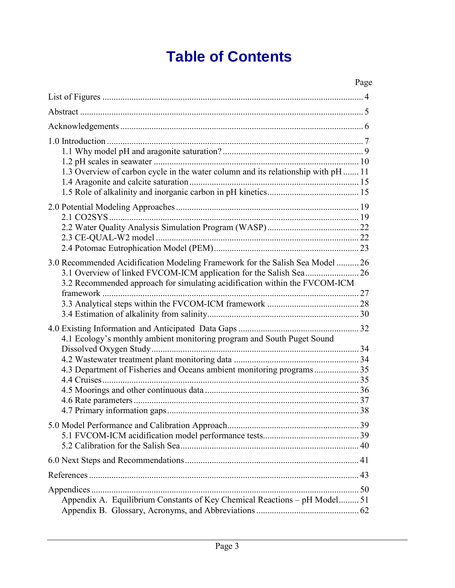# **Table of Contents**

|                                                                                   | Page |
|-----------------------------------------------------------------------------------|------|
|                                                                                   |      |
|                                                                                   |      |
|                                                                                   |      |
|                                                                                   |      |
|                                                                                   |      |
|                                                                                   |      |
| 1.3 Overview of carbon cycle in the water column and its relationship with pH  11 |      |
|                                                                                   |      |
|                                                                                   |      |
|                                                                                   |      |
|                                                                                   |      |
|                                                                                   |      |
|                                                                                   |      |
| 3.0 Recommended Acidification Modeling Framework for the Salish Sea Model  26     |      |
| 3.2 Recommended approach for simulating acidification within the FVCOM-ICM        |      |
|                                                                                   |      |
|                                                                                   |      |
|                                                                                   |      |
|                                                                                   |      |
| 4.1 Ecology's monthly ambient monitoring program and South Puget Sound            |      |
|                                                                                   |      |
| 4.3 Department of Fisheries and Oceans ambient monitoring programs35              |      |
|                                                                                   |      |
|                                                                                   |      |
|                                                                                   |      |
|                                                                                   |      |
|                                                                                   |      |
|                                                                                   |      |
|                                                                                   |      |
|                                                                                   |      |
|                                                                                   |      |
| Appendix A. Equilibrium Constants of Key Chemical Reactions - pH Model 51         |      |
|                                                                                   |      |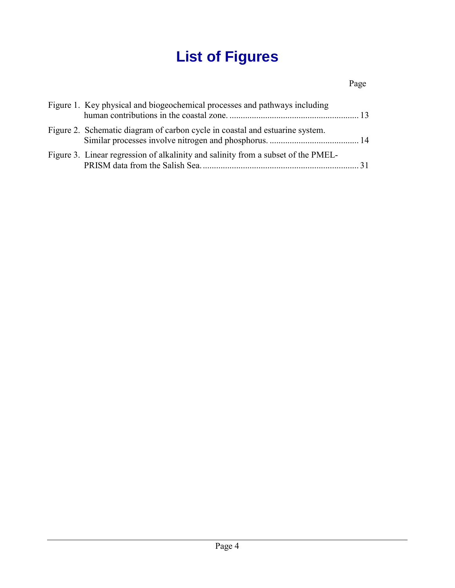# **List of Figures**

#### Page

<span id="page-5-0"></span>

| Figure 1. Key physical and biogeochemical processes and pathways including        |  |
|-----------------------------------------------------------------------------------|--|
| Figure 2. Schematic diagram of carbon cycle in coastal and estuarine system.      |  |
| Figure 3. Linear regression of alkalinity and salinity from a subset of the PMEL- |  |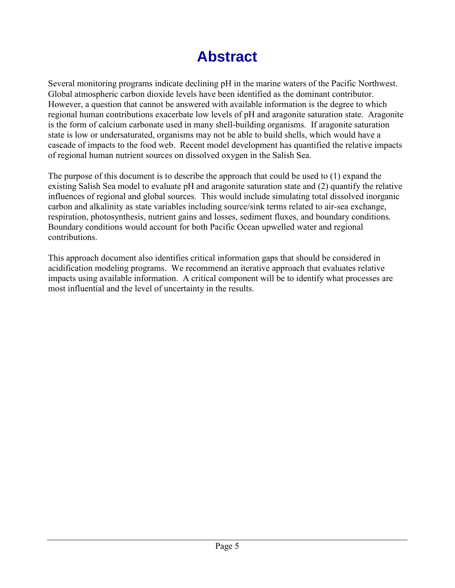## **Abstract**

<span id="page-6-0"></span>Several monitoring programs indicate declining pH in the marine waters of the Pacific Northwest. Global atmospheric carbon dioxide levels have been identified as the dominant contributor. However, a question that cannot be answered with available information is the degree to which regional human contributions exacerbate low levels of pH and aragonite saturation state. Aragonite is the form of calcium carbonate used in many shell-building organisms. If aragonite saturation state is low or undersaturated, organisms may not be able to build shells, which would have a cascade of impacts to the food web. Recent model development has quantified the relative impacts of regional human nutrient sources on dissolved oxygen in the Salish Sea.

The purpose of this document is to describe the approach that could be used to (1) expand the existing Salish Sea model to evaluate pH and aragonite saturation state and (2) quantify the relative influences of regional and global sources. This would include simulating total dissolved inorganic carbon and alkalinity as state variables including source/sink terms related to air-sea exchange, respiration, photosynthesis, nutrient gains and losses, sediment fluxes, and boundary conditions. Boundary conditions would account for both Pacific Ocean upwelled water and regional contributions.

This approach document also identifies critical information gaps that should be considered in acidification modeling programs. We recommend an iterative approach that evaluates relative impacts using available information. A critical component will be to identify what processes are most influential and the level of uncertainty in the results.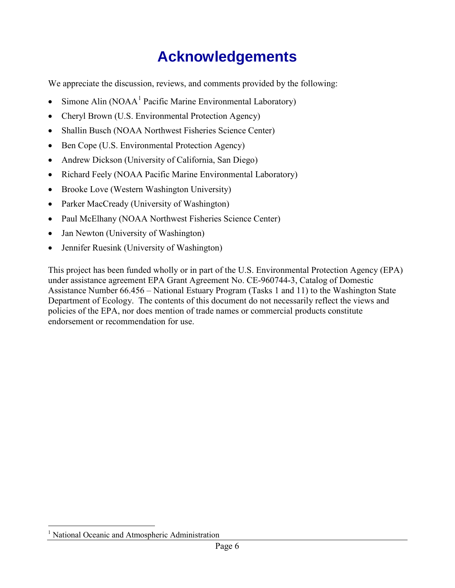# **Acknowledgements**

<span id="page-7-0"></span>We appreciate the discussion, reviews, and comments provided by the following:

- Simone Alin  $(NOAA<sup>1</sup> Pacific Marine Environmental Laboratory)$  $(NOAA<sup>1</sup> Pacific Marine Environmental Laboratory)$  $(NOAA<sup>1</sup> Pacific Marine Environmental Laboratory)$
- Cheryl Brown (U.S. Environmental Protection Agency)
- Shallin Busch (NOAA Northwest Fisheries Science Center)
- Ben Cope (U.S. Environmental Protection Agency)
- Andrew Dickson (University of California, San Diego)
- Richard Feely (NOAA Pacific Marine Environmental Laboratory)
- Brooke Love (Western Washington University)
- Parker MacCready (University of Washington)
- Paul McElhany (NOAA Northwest Fisheries Science Center)
- Jan Newton (University of Washington)
- Jennifer Ruesink (University of Washington)

This project has been funded wholly or in part of the U.S. Environmental Protection Agency (EPA) under assistance agreement EPA Grant Agreement No. CE-960744-3, Catalog of Domestic Assistance Number 66.456 – National Estuary Program (Tasks 1 and 11) to the Washington State Department of Ecology. The contents of this document do not necessarily reflect the views and policies of the EPA, nor does mention of trade names or commercial products constitute endorsement or recommendation for use.

<span id="page-7-1"></span> $\overline{a}$ <sup>1</sup> National Oceanic and Atmospheric Administration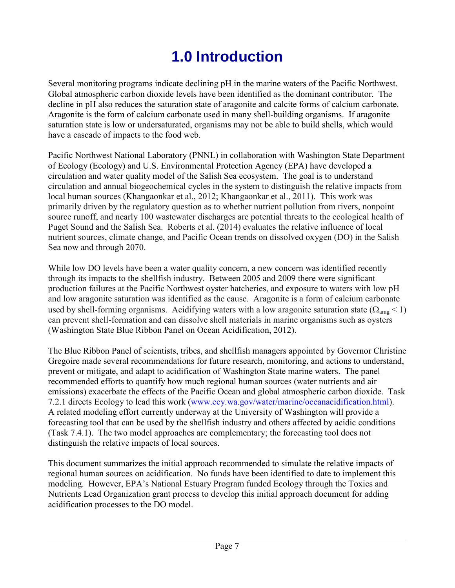# **1.0 Introduction**

<span id="page-8-0"></span>Several monitoring programs indicate declining pH in the marine waters of the Pacific Northwest. Global atmospheric carbon dioxide levels have been identified as the dominant contributor. The decline in pH also reduces the saturation state of aragonite and calcite forms of calcium carbonate. Aragonite is the form of calcium carbonate used in many shell-building organisms. If aragonite saturation state is low or undersaturated, organisms may not be able to build shells, which would have a cascade of impacts to the food web.

Pacific Northwest National Laboratory (PNNL) in collaboration with Washington State Department of Ecology (Ecology) and U.S. Environmental Protection Agency (EPA) have developed a circulation and water quality model of the Salish Sea ecosystem. The goal is to understand circulation and annual biogeochemical cycles in the system to distinguish the relative impacts from local human sources (Khangaonkar et al., 2012; Khangaonkar et al., 2011). This work was primarily driven by the regulatory question as to whether nutrient pollution from rivers, nonpoint source runoff, and nearly 100 wastewater discharges are potential threats to the ecological health of Puget Sound and the Salish Sea. Roberts et al. (2014) evaluates the relative influence of local nutrient sources, climate change, and Pacific Ocean trends on dissolved oxygen (DO) in the Salish Sea now and through 2070.

While low DO levels have been a water quality concern, a new concern was identified recently through its impacts to the shellfish industry. Between 2005 and 2009 there were significant production failures at the Pacific Northwest oyster hatcheries, and exposure to waters with low pH and low aragonite saturation was identified as the cause. Aragonite is a form of calcium carbonate used by shell-forming organisms. Acidifying waters with a low aragonite saturation state ( $\Omega_{\text{arag}}$  < 1) can prevent shell-formation and can dissolve shell materials in marine organisms such as oysters (Washington State Blue Ribbon Panel on Ocean Acidification, 2012).

The Blue Ribbon Panel of scientists, tribes, and shellfish managers appointed by Governor Christine Gregoire made several recommendations for future research, monitoring, and actions to understand, prevent or mitigate, and adapt to acidification of Washington State marine waters. The panel recommended efforts to quantify how much regional human sources (water nutrients and air emissions) exacerbate the effects of the Pacific Ocean and global atmospheric carbon dioxide. Task 7.2.1 directs Ecology to lead this work [\(www.ecy.wa.gov/water/marine/oceanacidification.html\)](http://www.ecy.wa.gov/water/marine/oceanacidification.html). A related modeling effort currently underway at the University of Washington will provide a forecasting tool that can be used by the shellfish industry and others affected by acidic conditions (Task 7.4.1). The two model approaches are complementary; the forecasting tool does not distinguish the relative impacts of local sources.

This document summarizes the initial approach recommended to simulate the relative impacts of regional human sources on acidification. No funds have been identified to date to implement this modeling. However, EPA's National Estuary Program funded Ecology through the Toxics and Nutrients Lead Organization grant process to develop this initial approach document for adding acidification processes to the DO model.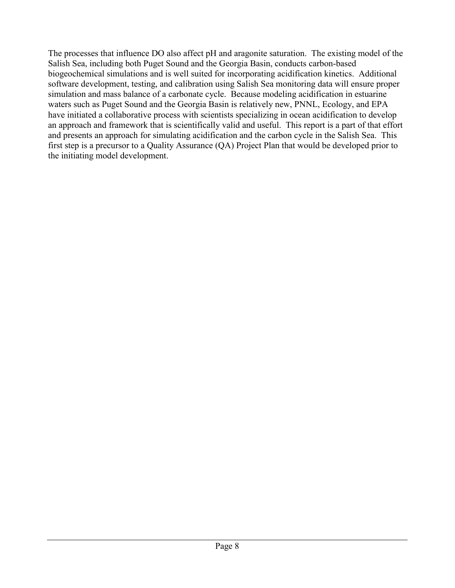The processes that influence DO also affect pH and aragonite saturation. The existing model of the Salish Sea, including both Puget Sound and the Georgia Basin, conducts carbon-based biogeochemical simulations and is well suited for incorporating acidification kinetics. Additional software development, testing, and calibration using Salish Sea monitoring data will ensure proper simulation and mass balance of a carbonate cycle. Because modeling acidification in estuarine waters such as Puget Sound and the Georgia Basin is relatively new, PNNL, Ecology, and EPA have initiated a collaborative process with scientists specializing in ocean acidification to develop an approach and framework that is scientifically valid and useful. This report is a part of that effort and presents an approach for simulating acidification and the carbon cycle in the Salish Sea. This first step is a precursor to a Quality Assurance (QA) Project Plan that would be developed prior to the initiating model development.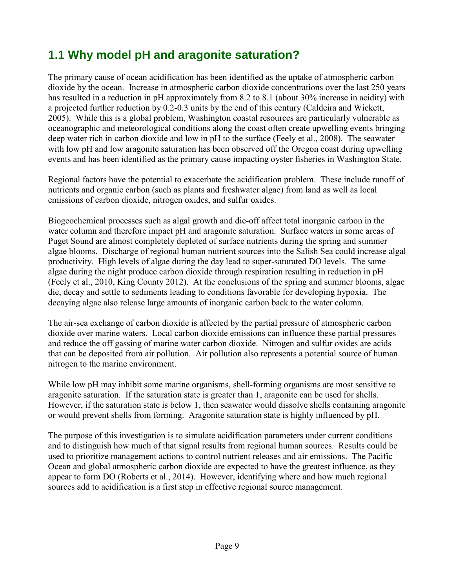### <span id="page-10-0"></span>**1.1 Why model pH and aragonite saturation?**

The primary cause of ocean acidification has been identified as the uptake of atmospheric carbon dioxide by the ocean. Increase in atmospheric carbon dioxide concentrations over the last 250 years has resulted in a reduction in pH approximately from 8.2 to 8.1 (about 30% increase in acidity) with a projected further reduction by 0.2-0.3 units by the end of this century (Caldeira and Wickett, 2005). While this is a global problem, Washington coastal resources are particularly vulnerable as oceanographic and meteorological conditions along the coast often create upwelling events bringing deep water rich in carbon dioxide and low in pH to the surface (Feely et al., 2008). The seawater with low pH and low aragonite saturation has been observed off the Oregon coast during upwelling events and has been identified as the primary cause impacting oyster fisheries in Washington State.

Regional factors have the potential to exacerbate the acidification problem. These include runoff of nutrients and organic carbon (such as plants and freshwater algae) from land as well as local emissions of carbon dioxide, nitrogen oxides, and sulfur oxides.

Biogeochemical processes such as algal growth and die-off affect total inorganic carbon in the water column and therefore impact pH and aragonite saturation. Surface waters in some areas of Puget Sound are almost completely depleted of surface nutrients during the spring and summer algae blooms. Discharge of regional human nutrient sources into the Salish Sea could increase algal productivity. High levels of algae during the day lead to super-saturated DO levels. The same algae during the night produce carbon dioxide through respiration resulting in reduction in pH (Feely et al., 2010, King County 2012). At the conclusions of the spring and summer blooms, algae die, decay and settle to sediments leading to conditions favorable for developing hypoxia. The decaying algae also release large amounts of inorganic carbon back to the water column.

The air-sea exchange of carbon dioxide is affected by the partial pressure of atmospheric carbon dioxide over marine waters. Local carbon dioxide emissions can influence these partial pressures and reduce the off gassing of marine water carbon dioxide. Nitrogen and sulfur oxides are acids that can be deposited from air pollution. Air pollution also represents a potential source of human nitrogen to the marine environment.

While low pH may inhibit some marine organisms, shell-forming organisms are most sensitive to aragonite saturation. If the saturation state is greater than 1, aragonite can be used for shells. However, if the saturation state is below 1, then seawater would dissolve shells containing aragonite or would prevent shells from forming. Aragonite saturation state is highly influenced by pH.

The purpose of this investigation is to simulate acidification parameters under current conditions and to distinguish how much of that signal results from regional human sources. Results could be used to prioritize management actions to control nutrient releases and air emissions. The Pacific Ocean and global atmospheric carbon dioxide are expected to have the greatest influence, as they appear to form DO (Roberts et al., 2014). However, identifying where and how much regional sources add to acidification is a first step in effective regional source management.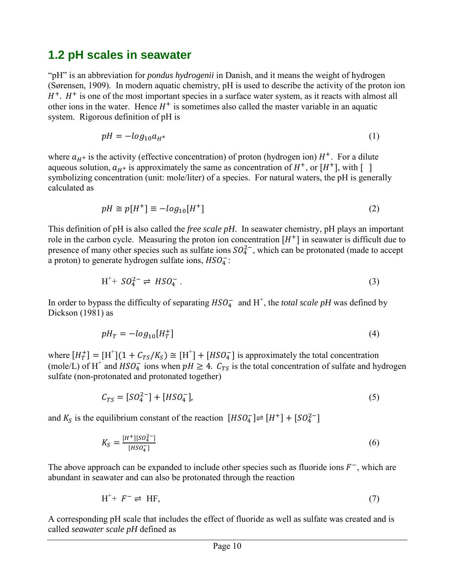#### <span id="page-11-0"></span>**1.2 pH scales in seawater**

"pH" is an abbreviation for *pondus hydrogenii* in Danish, and it means the weight of hydrogen (Sørensen, 1909). In modern aquatic chemistry, pH is used to describe the activity of the proton ion  $H^+$ .  $H^+$  is one of the most important species in a surface water system, as it reacts with almost all other ions in the water. Hence  $H^+$  is sometimes also called the master variable in an aquatic system. Rigorous definition of pH is

$$
pH = -log_{10}a_{H^{+}}\tag{1}
$$

where  $a_{H^+}$  is the activity (effective concentration) of proton (hydrogen ion)  $H^+$ . For a dilute aqueous solution,  $a_{H^+}$  is approximately the same as concentration of  $H^+$ , or  $[H^+]$ , with  $\lceil$  ] symbolizing concentration (unit: mole/liter) of a species. For natural waters, the pH is generally calculated as

$$
pH \cong p[H^+] \equiv -\log_{10}[H^+]
$$
\n<sup>(2)</sup>

This definition of pH is also called the *free scale pH*. In seawater chemistry, pH plays an important role in the carbon cycle. Measuring the proton ion concentration  $[H^+]$  in seawater is difficult due to presence of many other species such as sulfate ions  $SO_4^{2-}$ , which can be protonated (made to accept a proton) to generate hydrogen sulfate ions,  $HSO_4^-$ :

$$
H^+ + SO_4^{2-} \rightleftharpoons HSO_4^- \tag{3}
$$

In order to bypass the difficulty of separating  $HSO_4^-$  and H<sup>+</sup>, the *total scale pH* was defined by Dickson (1981) as

$$
pH_T = -\log_{10}[H_T^+]
$$
\n<sup>(4)</sup>

where  $[H_T^+] = [H^+](1 + C_{TS}/K_S) \cong [H^+] + [HSO_4^-]$  is approximately the total concentration (mole/L) of H<sup>+</sup> and  $HSO_4^-$  ions when  $pH \ge 4$ .  $C_{TS}$  is the total concentration of sulfate and hydrogen sulfate (non-protonated and protonated together)

$$
C_{TS} = [SO_4^{2-}] + [HSO_4^{-}], \tag{5}
$$

and  $K_S$  is the equilibrium constant of the reaction  $[HSO_4^-] \rightleftharpoons [H^+] + [SO_4^{2-}]$ 

$$
K_S = \frac{[H^+] [SO_4^{2-}]}{[HSO_4^{-}]}
$$
\n(6)

The above approach can be expanded to include other species such as fluoride ions  $F^-$ , which are abundant in seawater and can also be protonated through the reaction

$$
H^+ + F^- \rightleftharpoons HF,
$$
\n<sup>(7)</sup>

A corresponding pH scale that includes the effect of fluoride as well as sulfate was created and is called *seawater scale pH* defined as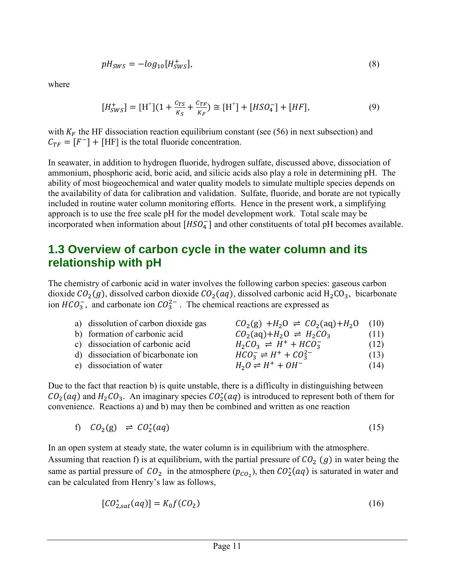$$
pH_{SWS} = -log_{10}[H_{SWS}^+],\tag{8}
$$

where

$$
[H_{SWS}^+] = [H^+](1 + \frac{c_{TS}}{\kappa_S} + \frac{c_{TF}}{\kappa_F}) \cong [H^+] + [HSO_4^-] + [HF],\tag{9}
$$

with  $K_F$  the HF dissociation reaction equilibrium constant (see (56) in next subsection) and  $C_{TF} = [F^-] + [HF]$  is the total fluoride concentration.

In seawater, in addition to hydrogen fluoride, hydrogen sulfate, discussed above, dissociation of ammonium, phosphoric acid, boric acid, and silicic acids also play a role in determining pH. The ability of most biogeochemical and water quality models to simulate multiple species depends on the availability of data for calibration and validation. Sulfate, fluoride, and borate are not typically included in routine water column monitoring efforts. Hence in the present work, a simplifying approach is to use the free scale pH for the model development work. Total scale may be incorporated when information about  $[HSO_4^-]$  and other constituents of total pH becomes available.

#### <span id="page-12-0"></span>**1.3 Overview of carbon cycle in the water column and its relationship with pH**

The chemistry of carbonic acid in water involves the following carbon species: gaseous carbon dioxide  $CO<sub>2</sub>(g)$ , dissolved carbon dioxide  $CO<sub>2</sub>(aq)$ , dissolved carbonic acid H<sub>2</sub>CO<sub>3</sub>, bicarbonate ion  $HCO_3^-$ , and carbonate ion  $CO_3^{2-}$ . The chemical reactions are expressed as

| a) dissolution of carbon dioxide gas | $CO2(g) +H2O \Rightarrow CO2(aq)+H2O$        | (10) |
|--------------------------------------|----------------------------------------------|------|
| b) formation of carbonic acid        | $CO2(aq)+H2O \Rightarrow H2CO3$              | (11) |
| c) dissociation of carbonic acid     | $H_2CO_3 \Rightarrow H^+ + HCO_2^-$          | (12) |
| d) dissociation of bicarbonate ion   | $HCO_3^- \rightleftharpoons H^+ + CO_3^{2-}$ | (13) |
| e) dissociation of water             | $H_2O \rightleftharpoons H^+ + OH^-$         |      |

Due to the fact that reaction b) is quite unstable, there is a difficulty in distinguishing between  $CO<sub>2</sub>(aq)$  and  $H<sub>2</sub>CO<sub>3</sub>$ . An imaginary species  $CO<sub>2</sub><sup>*</sup>(aq)$  is introduced to represent both of them for convenience. Reactions a) and b) may then be combined and written as one reaction

$$
f) \quad CO_2(g) \quad \rightleftharpoons \quad CO_2^*(aq) \tag{15}
$$

In an open system at steady state, the water column is in equilibrium with the atmosphere. Assuming that reaction f) is at equilibrium, with the partial pressure of  $CO<sub>2</sub>(g)$  in water being the same as partial pressure of  $CO_2$  in the atmosphere  $(p_{CO_2})$ , then  $CO_2^*(aq)$  is saturated in water and can be calculated from Henry's law as follows,

$$
[CO^*_{2,sat}(aq)] = K_0 f(CO_2)
$$
\n
$$
(16)
$$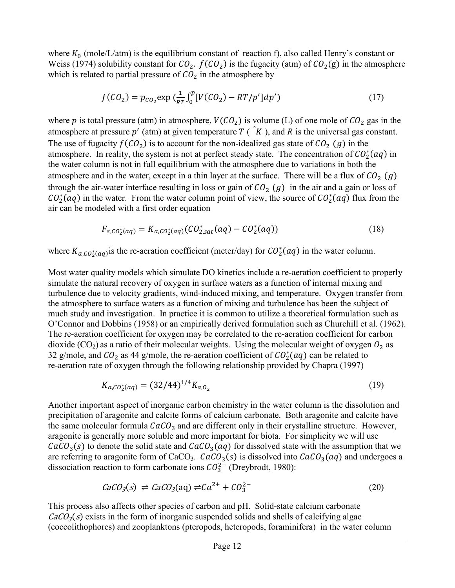where  $K_0$  (mole/L/atm) is the equilibrium constant of reaction f), also called Henry's constant or Weiss (1974) solubility constant for  $CO_2$ .  $f(CO_2)$  is the fugacity (atm) of  $CO_2(g)$  in the atmosphere which is related to partial pressure of  $CO<sub>2</sub>$  in the atmosphere by

$$
f(CO_2) = p_{CO_2} \exp\left(\frac{1}{RT} \int_0^p [V(CO_2) - RT/p'] dp'\right)
$$
 (17)

where p is total pressure (atm) in atmosphere,  $V(CO_2)$  is volume (L) of one mole of  $CO_2$  gas in the atmosphere at pressure  $p'$  (atm) at given temperature  $T(\gamma K)$ , and R is the universal gas constant. The use of fugacity  $f(CO_2)$  is to account for the non-idealized gas state of  $CO_2$  (g) in the atmosphere. In reality, the system is not at perfect steady state. The concentration of  $CO_2^*(aq)$  in the water column is not in full equilibrium with the atmosphere due to variations in both the atmosphere and in the water, except in a thin layer at the surface. There will be a flux of  $CO<sub>2</sub>(g)$ through the air-water interface resulting in loss or gain of  $CO<sub>2</sub>(g)$  in the air and a gain or loss of  $CO_2^*(aq)$  in the water. From the water column point of view, the source of  $CO_2^*(aq)$  flux from the air can be modeled with a first order equation

$$
F_{s,CO_2^*(aq)} = K_{a,CO_2^*(aq)}(CO_{2,sat}^*(aq) - CO_2^*(aq))
$$
\n(18)

where  $K_{a, CO_2^*(aq)}$  is the re-aeration coefficient (meter/day) for  $CO_2^*(aq)$  in the water column.

Most water quality models which simulate DO kinetics include a re-aeration coefficient to properly simulate the natural recovery of oxygen in surface waters as a function of internal mixing and turbulence due to velocity gradients, wind-induced mixing, and temperature. Oxygen transfer from the atmosphere to surface waters as a function of mixing and turbulence has been the subject of much study and investigation. In practice it is common to utilize a theoretical formulation such as O'Connor and Dobbins (1958) or an empirically derived formulation such as Churchill et al. (1962). The re-aeration coefficient for oxygen may be correlated to the re-aeration coefficient for carbon dioxide (CO<sub>2</sub>) as a ratio of their molecular weights. Using the molecular weight of oxygen  $O_2$  as 32 g/mole, and  $CO_2$  as 44 g/mole, the re-aeration coefficient of  $CO_2^*(aq)$  can be related to re-aeration rate of oxygen through the following relationship provided by Chapra (1997)

$$
K_{a,CO_2^*(aq)} = (32/44)^{1/4} K_{a,O_2}
$$
\n(19)

Another important aspect of inorganic carbon chemistry in the water column is the dissolution and precipitation of aragonite and calcite forms of calcium carbonate. Both aragonite and calcite have the same molecular formula  $CaCO<sub>3</sub>$  and are different only in their crystalline structure. However, aragonite is generally more soluble and more important for biota. For simplicity we will use  $CaCO<sub>3</sub>(s)$  to denote the solid state and  $CaCO<sub>3</sub>(aq)$  for dissolved state with the assumption that we are referring to aragonite form of CaCO<sub>3</sub>.  $CaCO<sub>3</sub>(s)$  is dissolved into  $CaCO<sub>3</sub>(aq)$  and undergoes a dissociation reaction to form carbonate ions  $CO_3^{2-}$  (Dreybrodt, 1980):

$$
CaCO3(s) \Rightarrow CaCO3(aq) \Rightarrow Ca2+ + CO32-
$$
 (20)

This process also affects other species of carbon and pH. Solid-state calcium carbonate  $CaCO<sub>3</sub>(s)$  exists in the form of inorganic suspended solids and shells of calcifying algae (coccolithophores) and zooplanktons (pteropods, heteropods, foraminifera) in the water column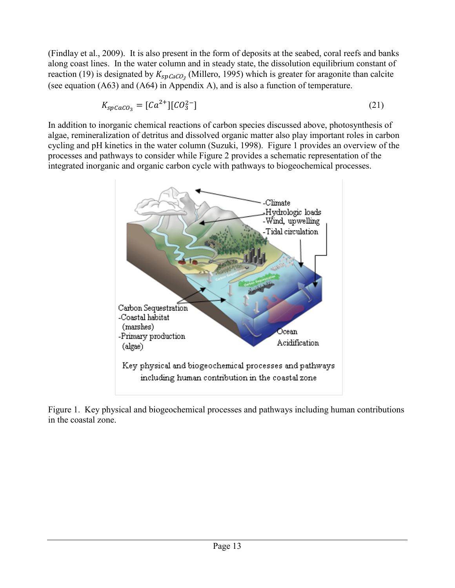(Findlay et al., 2009). It is also present in the form of deposits at the seabed, coral reefs and banks along coast lines. In the water column and in steady state, the dissolution equilibrium constant of reaction (19) is designated by  $K_{spCaCO_3}$  (Millero, 1995) which is greater for aragonite than calcite (see equation (A63) and (A64) in Appendix A), and is also a function of temperature.

$$
K_{spcaco_3} = [Ca^{2+}][CO_3^{2-}]
$$
\n(21)

In addition to inorganic chemical reactions of carbon species discussed above, photosynthesis of algae, remineralization of detritus and dissolved organic matter also play important roles in carbon cycling and pH kinetics in the water column (Suzuki, 1998). Figure 1 provides an overview of the processes and pathways to consider while Figure 2 provides a schematic representation of the integrated inorganic and organic carbon cycle with pathways to biogeochemical processes.



<span id="page-14-0"></span>Figure 1. Key physical and biogeochemical processes and pathways including human contributions in the coastal zone.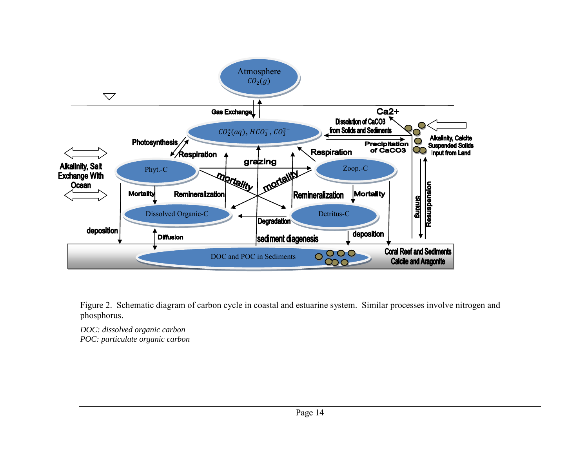

Figure 2. Schematic diagram of carbon cycle in coastal and estuarine system. Similar processes involve nitrogen and phosphorus.

<span id="page-15-0"></span>*DOC: dissolved organic carbon POC: particulate organic carbon*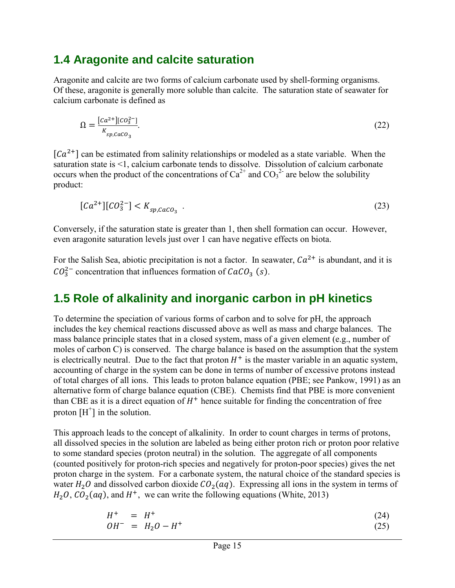#### <span id="page-16-0"></span>**1.4 Aragonite and calcite saturation**

Aragonite and calcite are two forms of calcium carbonate used by shell-forming organisms. Of these, aragonite is generally more soluble than calcite. The saturation state of seawater for calcium carbonate is defined as

$$
\Omega = \frac{[ca^{2+}][co_3^{2-}]}{\kappa_{sp, CaCO_3}}.\tag{22}
$$

 $[Ca^{2+}]$  can be estimated from salinity relationships or modeled as a state variable. When the saturation state is <1, calcium carbonate tends to dissolve. Dissolution of calcium carbonate occurs when the product of the concentrations of  $Ca^{2+}$  and  $CO<sub>3</sub><sup>2</sup>$  are below the solubility product:

$$
[Ca^{2+}][CO_3^{2-}] < K_{sp, CaCO_3} \tag{23}
$$

Conversely, if the saturation state is greater than 1, then shell formation can occur. However, even aragonite saturation levels just over 1 can have negative effects on biota.

For the Salish Sea, abiotic precipitation is not a factor. In seawater,  $Ca^{2+}$  is abundant, and it is  $CO_3^{2-}$  concentration that influences formation of  $CaCO_3$  (s).

#### <span id="page-16-1"></span>**1.5 Role of alkalinity and inorganic carbon in pH kinetics**

To determine the speciation of various forms of carbon and to solve for pH, the approach includes the key chemical reactions discussed above as well as mass and charge balances. The mass balance principle states that in a closed system, mass of a given element (e.g., number of moles of carbon C) is conserved. The charge balance is based on the assumption that the system is electrically neutral. Due to the fact that proton  $H^+$  is the master variable in an aquatic system, accounting of charge in the system can be done in terms of number of excessive protons instead of total charges of all ions. This leads to proton balance equation (PBE; see Pankow, 1991) as an alternative form of charge balance equation (CBE). Chemists find that PBE is more convenient than CBE as it is a direct equation of  $H^+$  hence suitable for finding the concentration of free proton  $[H^+]$  in the solution.

This approach leads to the concept of alkalinity. In order to count charges in terms of protons, all dissolved species in the solution are labeled as being either proton rich or proton poor relative to some standard species (proton neutral) in the solution. The aggregate of all components (counted positively for proton-rich species and negatively for proton-poor species) gives the net proton charge in the system. For a carbonate system, the natural choice of the standard species is water  $H_2O$  and dissolved carbon dioxide  $CO_2(aq)$ . Expressing all ions in the system in terms of  $H_2O$ ,  $CO_2(aq)$ , and  $H^+$ , we can write the following equations (White, 2013)

$$
H^{+} = H^{+} \t\t(24) OH^{-} = H_{2}O - H^{+} \t\t(25)
$$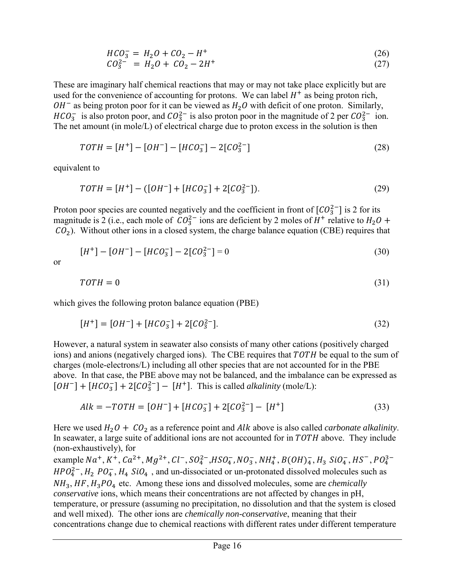$$
HCO_3^- = H_2O + CO_2 - H^+ \tag{26}
$$

$$
CO_3^{2-} = H_2O + CO_2 - 2H^+ \tag{27}
$$

These are imaginary half chemical reactions that may or may not take place explicitly but are used for the convenience of accounting for protons. We can label  $H^+$  as being proton rich,  $OH^-$  as being proton poor for it can be viewed as  $H_2O$  with deficit of one proton. Similarly,  $HCO_3^-$  is also proton poor, and  $CO_3^{2-}$  is also proton poor in the magnitude of 2 per  $CO_3^{2-}$  ion. The net amount (in mole/L) of electrical charge due to proton excess in the solution is then

$$
TOTH = [H^+] - [OH^-] - [HCO_3^-] - 2[CO_3^{2-}] \tag{28}
$$

equivalent to

$$
TOTH = [H+] - ([OH-] + [HCO3-] + 2[CO32]).
$$
\n(29)

Proton poor species are counted negatively and the coefficient in front of  $[CO_3^{2-}]$  is 2 for its magnitude is 2 (i.e., each mole of  $CO_3^{2-}$  ions are deficient by 2 moles of  $H^+$  relative to  $H_2O$  +  $CO<sub>2</sub>$ ). Without other ions in a closed system, the charge balance equation (CBE) requires that

$$
[H^+] - [OH^-] - [HCO_3^-] - 2[CO_3^{2-}] = 0 \tag{30}
$$

or

$$
TOTH = 0 \tag{31}
$$

which gives the following proton balance equation (PBE)

$$
[H^+] = [OH^-] + [HCO_3^-] + 2[CO_3^{2-}]. \tag{32}
$$

However, a natural system in seawater also consists of many other cations (positively charged ions) and anions (negatively charged ions). The CBE requires that TOTH be equal to the sum of charges (mole-electrons/L) including all other species that are not accounted for in the PBE above. In that case, the PBE above may not be balanced, and the imbalance can be expressed as  $[OH^-] + [HCO_3^-] + 2[CO_3^{2-}] - [H^+]$ . This is called *alkalinity* (mole/L):

$$
Alk = -TOTH = [OH^-] + [HCO_3^-] + 2[CO_3^{2-}] - [H^+]
$$
\n(33)

Here we used  $H_2O + CO_2$  as a reference point and Alk above is also called *carbonate alkalinity*. In seawater, a large suite of additional ions are not accounted for in  $TOTH$  above. They include (non-exhaustively), for

example  $Na^+$ ,  $K^+$ ,  $Ca^{2+}$ ,  $Mg^{2+}$ ,  $Cl^-$ ,  $SO_4^{2-}$ ,  $HSO_4^-$ ,  $NO_3^-$ ,  $NH_4^+$ ,  $B(OH)_{4}^-$ ,  $H_3$   $SiO_4^-$ ,  $HS^-$ ,  $PO_4^{3-}$  $HDQ_4^{2-}$ ,  $H_2$   $PO_4^-$ ,  $H_4$   $SiO_4$ , and un-dissociated or un-protonated dissolved molecules such as  $NH<sub>3</sub>, HF, H<sub>3</sub>PO<sub>4</sub>$  etc. Among these ions and dissolved molecules, some are *chemically conservative* ions, which means their concentrations are not affected by changes in pH, temperature, or pressure (assuming no precipitation, no dissolution and that the system is closed and well mixed). The other ions are *chemically non-conservative*, meaning that their concentrations change due to chemical reactions with different rates under different temperature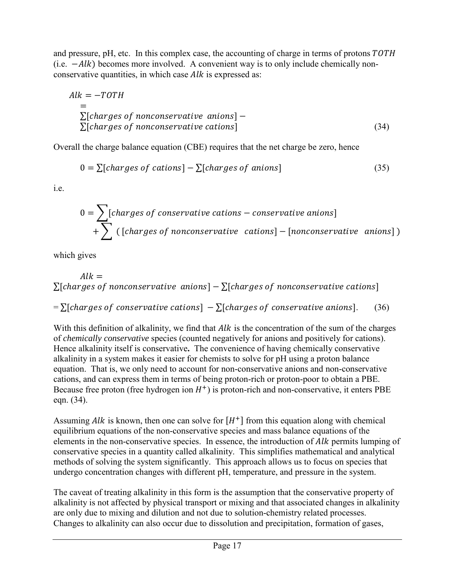and pressure, pH, etc. In this complex case, the accounting of charge in terms of protons  $TOTH$ (i.e.  $-Alk$ ) becomes more involved. A convenient way is to only include chemically nonconservative quantities, in which case  $Alk$  is expressed as:

$$
Alk = -TOTH
$$
  
=  

$$
\sum [charges of nonconservative anions]
$$
  

$$
\sum [charges of nonconservative cations]
$$
 (34)

Overall the charge balance equation (CBE) requires that the net charge be zero, hence

$$
0 = \sum[charges of cations] - \sum[charges of anions]
$$
 (35)

i.e.

$$
0 = \sum [charges of conservative cations - conservative anions]
$$
  
+
$$
\sum (\text{[charges of nonconservative cations]} - \text{[nonconservative anions]})
$$

which gives

$$
Alk = \sum[charges of nonconservative anions] - \sum[charges of nonconservative cations]
$$

 $=\sum$ [charges of conservative cations]  $-\sum$ [charges of conservative anions]. (36)

With this definition of alkalinity, we find that  $Alk$  is the concentration of the sum of the charges of *chemically conservative* species (counted negatively for anions and positively for cations). Hence alkalinity itself is conservative**.** The convenience of having chemically conservative alkalinity in a system makes it easier for chemists to solve for pH using a proton balance equation. That is, we only need to account for non-conservative anions and non-conservative cations, and can express them in terms of being proton-rich or proton-poor to obtain a PBE. Because free proton (free hydrogen ion  $H^+$ ) is proton-rich and non-conservative, it enters PBE eqn. (34).

Assuming Alk is known, then one can solve for  $[H^+]$  from this equation along with chemical equilibrium equations of the non-conservative species and mass balance equations of the elements in the non-conservative species. In essence, the introduction of Alk permits lumping of conservative species in a quantity called alkalinity. This simplifies mathematical and analytical methods of solving the system significantly. This approach allows us to focus on species that undergo concentration changes with different pH, temperature, and pressure in the system.

The caveat of treating alkalinity in this form is the assumption that the conservative property of alkalinity is not affected by physical transport or mixing and that associated changes in alkalinity are only due to mixing and dilution and not due to solution-chemistry related processes. Changes to alkalinity can also occur due to dissolution and precipitation, formation of gases,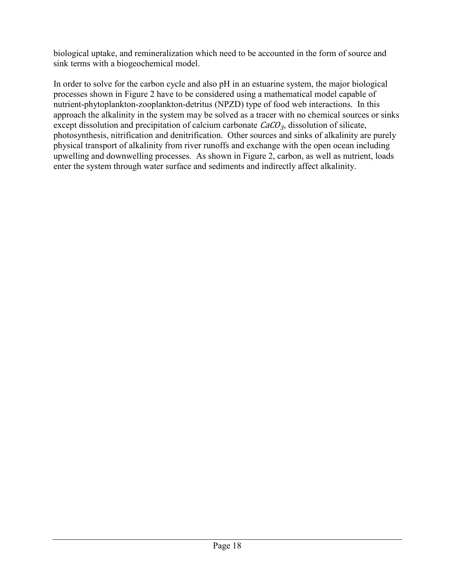biological uptake, and remineralization which need to be accounted in the form of source and sink terms with a biogeochemical model.

In order to solve for the carbon cycle and also pH in an estuarine system, the major biological processes shown in Figure 2 have to be considered using a mathematical model capable of nutrient-phytoplankton-zooplankton-detritus (NPZD) type of food web interactions. In this approach the alkalinity in the system may be solved as a tracer with no chemical sources or sinks except dissolution and precipitation of calcium carbonate  $CaCO<sub>3</sub>$ , dissolution of silicate, photosynthesis, nitrification and denitrification. Other sources and sinks of alkalinity are purely physical transport of alkalinity from river runoffs and exchange with the open ocean including upwelling and downwelling processes. As shown in Figure 2, carbon, as well as nutrient, loads enter the system through water surface and sediments and indirectly affect alkalinity.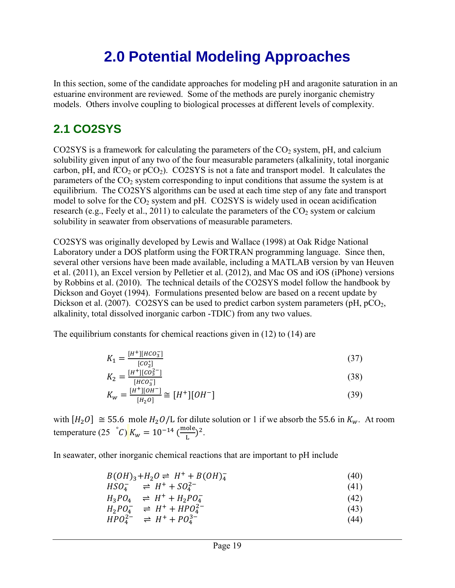## **2.0 Potential Modeling Approaches**

<span id="page-20-0"></span>In this section, some of the candidate approaches for modeling pH and aragonite saturation in an estuarine environment are reviewed. Some of the methods are purely inorganic chemistry models. Others involve coupling to biological processes at different levels of complexity.

#### <span id="page-20-1"></span>**2.1 CO2SYS**

CO2SYS is a framework for calculating the parameters of the  $CO<sub>2</sub>$  system, pH, and calcium solubility given input of any two of the four measurable parameters (alkalinity, total inorganic carbon, pH, and  $fCO<sub>2</sub>$  or  $pCO<sub>2</sub>$ ). CO2SYS is not a fate and transport model. It calculates the parameters of the  $CO<sub>2</sub>$  system corresponding to input conditions that assume the system is at equilibrium. The CO2SYS algorithms can be used at each time step of any fate and transport model to solve for the  $CO<sub>2</sub>$  system and pH.  $CO2SYS$  is widely used in ocean acidification research (e.g., Feely et al., 2011) to calculate the parameters of the  $CO<sub>2</sub>$  system or calcium solubility in seawater from observations of measurable parameters.

CO2SYS was originally developed by Lewis and Wallace (1998) at Oak Ridge National Laboratory under a DOS platform using the FORTRAN programming language. Since then, several other versions have been made available, including a MATLAB version by van Heuven et al. (2011), an Excel version by Pelletier et al. (2012), and Mac OS and iOS (iPhone) versions by Robbins et al. (2010). The technical details of the CO2SYS model follow the handbook by Dickson and Goyet (1994). Formulations presented below are based on a recent update by Dickson et al. (2007). CO2SYS can be used to predict carbon system parameters (pH,  $pCO<sub>2</sub>$ , alkalinity, total dissolved inorganic carbon -TDIC) from any two values.

The equilibrium constants for chemical reactions given in (12) to (14) are

$$
K_1 = \frac{[H^+][HCO_3^-]}{[CO_2^*]} \tag{37}
$$

$$
K_2 = \frac{[H^+][CO_2^2]}{[HCO_3^-]}
$$
(38)

$$
K_{w} = \frac{[H^{+}][OH^{-}]}{[H_{2}O]} \cong [H^{+}][OH^{-}]
$$
\n(39)

with  $[H_2O] \cong 55.6$  mole  $H_2O/L$  for dilute solution or 1 if we absorb the 55.6 in  $K_w$ . At room temperature  $(25 \text{ }^{\circ}C)\frac{K_w}{K} = 10^{-14} \text{ } (\frac{\text{mole}}{\text{L}})^2$ .

In seawater, other inorganic chemical reactions that are important to pH include

$$
B(OH)_3 + H_2O \rightleftharpoons H^+ + B(OH)_4^- \tag{40}
$$

$$
HSO_4^- \quad \rightleftharpoons H^+ + SO_4^{2-} \tag{41}
$$

$$
H_3PO_4 \quad \rightleftharpoons \quad H^+ + H_2PO_4 \tag{42}
$$
\n
$$
H_3PO_4 \quad \rightleftharpoons \quad H^+ + H_2PO_4 \tag{43}
$$

$$
H_2 P O_4^- \Rightarrow H^+ + H P O_4^{2-}
$$
\n
$$
H P O_4^{2-} \Rightarrow H^+ + P O_4^{3-}
$$
\n(43)\n(44)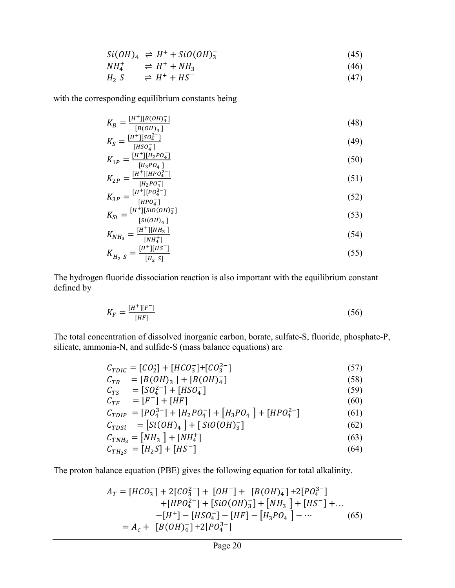$$
Si(OH)_4 \ \rightleftharpoons H^+ + SiO(OH)_3^- \tag{45}
$$

$$
NH_4^+ \qquad \rightleftharpoons H^+ + NH_3 \tag{46}
$$

$$
H_2 S \qquad \rightleftharpoons H^+ + H S^- \tag{47}
$$

with the corresponding equilibrium constants being

$$
K_B = \frac{[H^+][B(OH)_4^-]}{[B(OH)_3]}
$$
\n(48)

$$
K_S = \frac{[H^+][SO_4^{2-}]}{[HSO_4^-]}
$$
(49)

$$
K_{1P} = \frac{[H^+][H_2PO_4^-]}{[H_3PO_4^-]}
$$
(50)

$$
K_{2P} = \frac{[H^+][HPO_4^{-}]}{[H_2PO_4^{-}]}
$$
\n
$$
K_{3P} = \frac{[H^+][PO_4^{3-}]}{[H_2PO_4^{-}]}
$$
\n(51)

$$
K_{3P} = \frac{H^2 \prod_{i=1}^{P} G_i}{[H^2 G_i]}
$$
(52)  

$$
K_{Si} = \frac{[H^+][SiO(OH)_3]}{[Si(OH)_4]}
$$
(53)

$$
K_{NH_3} = \frac{[H^+][NH_3^-]}{[NH_4^+]}
$$
(54)

$$
K_{H_2 S} = \frac{[H^+][HS^-]}{[H_2 S]}\tag{55}
$$

The hydrogen fluoride dissociation reaction is also important with the equilibrium constant defined by

$$
K_F = \frac{[H^+][F^-]}{[HF]}
$$
\n(56)

The total concentration of dissolved inorganic carbon, borate, sulfate-S, fluoride, phosphate-P, silicate, ammonia-N, and sulfide-S (mass balance equations) are

$$
C_{TDIC} = [CO_2^*] + [HCO_3^-] + [CO_3^{2-}] \tag{57}
$$
  
\n
$$
C_{TB} = [B(OH)_3] + [B(OH)_4^-] \tag{58}
$$
  
\n
$$
C_{TS} = [SO_4^{2-}] + [HSO_4^-] \tag{59}
$$
  
\n
$$
C_{TF} = [F^-] + [HF] \tag{60}
$$
  
\n
$$
C_{TDIR} = [PO_4^{3-}] + [H_2PO_4^-] + [H_3PO_4^-] + [HPO_4^{2-}] \tag{61}
$$
  
\n
$$
C_{TDisi} = [Si(OH)_4] + [SiO(OH)_3^-] \tag{62}
$$
  
\n
$$
C_{TNH_3} = [NH_3] + [NH_4^+] \tag{63}
$$
  
\n
$$
C_{TH_2S} = [H_2S] + [HS^-] \tag{64}
$$

The proton balance equation (PBE) gives the following equation for total alkalinity.

$$
A_T = [HCO_3^-] + 2[CO_3^{2-}] + [OH^-] + [B(OH)_4^-] + 2[PO_4^{3-}]
$$
  
+ 
$$
[HPO_4^{2-}] + [SiO(OH)_3^-] + [NH_3^-] + [HS^-] + ...
$$
  
- 
$$
[H^+] - [HSO_4^-] - [HF] - [H_3PO_4^-] - ...
$$
  
= 
$$
A_c + [B(OH)_4^-] + 2[PO_4^{3-}]
$$
 (65)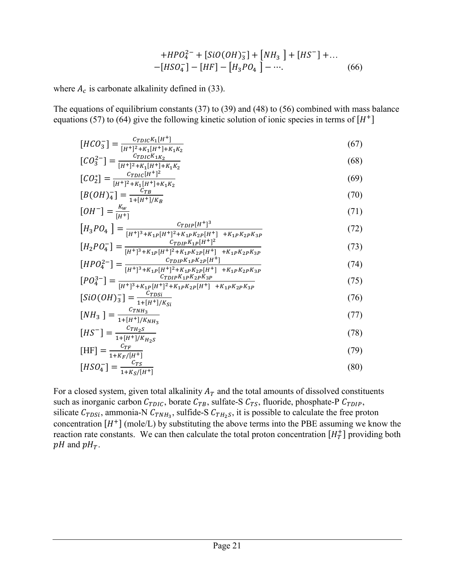$$
+HPO_4^{2-} + [SiO(OH)_3^-] + [NH_3^-] + [HS^-] + ...
$$
  
-[HSO<sub>4</sub><sup>-</sup>] - [HF] - [H<sub>3</sub>PO<sub>4</sub> ] - ... (66)

where  $A_c$  is carbonate alkalinity defined in (33).

The equations of equilibrium constants (37) to (39) and (48) to (56) combined with mass balance equations (57) to (64) give the following kinetic solution of ionic species in terms of  $[H^+]$ 

$$
[HCO_3^-] = \frac{c_{\text{TDIC}}K_1[H^+]}{[H^+]^2 + K_1[H^+] + K_1K_2}
$$
\n(67)

$$
[CO_3^{2-}] = \frac{C_{TDI}C_{1K_2}}{[H^+]^2 + K_1[H^+] + K_1K_2}
$$
\n(68)

$$
[CO_2^*] = \frac{C_{TDL}[H^+]^2}{[H^+]^2 + K_1[H^+] + K_1K_2}
$$
\n
$$
[PC(GH)^-] = \frac{C_{TB}}{G}
$$
\n
$$
(69)
$$

$$
[B(OH)^{-}_{4}] = \frac{c_{TB}}{1 + [H^{+}]/K_{B}}
$$
\n
$$
[OH^{-}] = \frac{K_{w}}{[H^{+}]}
$$
\n(70)\n(71)

$$
\begin{bmatrix} H_3PO_4 \end{bmatrix} = \frac{c_{TDP}[H^+]^3}{[H^+]^3 + K_{1P}[H^+]^2 + K_{1P}K_{2P}[H^+] + K_{1P}K_{2P}K_{3P}} \tag{72}
$$

$$
[H_2PO_4^-] = \frac{[H^+]^3 + K_{1P}[H^+]^2 + K_{1P}K_{2P}[H^+] + K_{1P}K_{2P}K_{3P}}{[H^+]^3 + K_{1P}[H^+]^2 + K_{1P}K_{2P}[H^+] + K_{1P}K_{2P}K_{3P}}
$$
\n
$$
C_{\text{max}} = \frac{K_{1P}[H^+]^2 + K_{1P}[H^+]^2 + K_{1P}K_{2P}[H^+]^2 + K_{1P}K_{2P}K_{3P}}{[H^+]^3 + K_{1P}[H^+]^2 + K_{1P}K_{2P}[H^+]^2}
$$
\n(73)

$$
[HPO_4^{2-}] = \frac{c_{TDP}K_{1P}K_{2P}[H^+]}{[H^+]^3 + K_{1P}[H^+]^2 + K_{1P}K_{2P}[H^+] + K_{1P}K_{2P}K_{3P}}
$$
(74)  
\n
$$
[PO_3^{3-}] \qquad \qquad \begin{array}{c} C_{TDP}K_{1P}K_{2P}K_{3P} \\ C_{TDP}K_{1P}K_{2P}K_{3P} \end{array}
$$

$$
[PO_4^{3-}] = \frac{C_{TDP}K_{1P}K_{2P}K_{3P}}{[H^+]^3 + K_{1P}[H^+]^2 + K_{1P}K_{2P}[H^+] + K_{1P}K_{2P}K_{3P}}
$$
(75)  
\n
$$
[SiO(OH)_3^-] = \frac{C_{TDSi}}{1+[H^+]/K_{Si}}
$$
(76)

$$
[NH_3] = \frac{c_{TNH_3}}{1 + [H^+] / K_{NH_3}}
$$
\n(77)

$$
[HS^{-}] = \frac{c_{TH_2S}}{1 + [H^{+}]/K_{H_2S}}\tag{78}
$$

[HF] = 
$$
\frac{c_{TF}}{1 + K_F/[H^+]}
$$
 (79)  
\n[HSO<sub>4</sub><sup>-</sup>] =  $\frac{c_{TS}}{1 + K_S/[H^+]}$  (80)

For a closed system, given total alkalinity  $A_T$  and the total amounts of dissolved constituents such as inorganic carbon  $C_{TDIC}$ , borate  $C_{TB}$ , sulfate-S  $C_{TS}$ , fluoride, phosphate-P  $C_{TDIP}$ , silicate  $C_{TDSi}$ , ammonia-N  $C_{TNH_3}$ , sulfide-S  $C_{TH_2S}$ , it is possible to calculate the free proton concentration  $[H^+]$  (mole/L) by substituting the above terms into the PBE assuming we know the reaction rate constants. We can then calculate the total proton concentration  $[H_T^+]$  providing both  $pH$  and  $pH_T$ .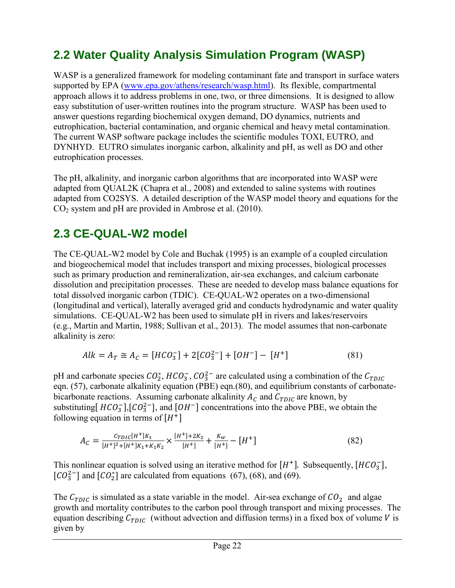### <span id="page-23-0"></span>**2.2 Water Quality Analysis Simulation Program (WASP)**

WASP is a generalized framework for modeling contaminant fate and transport in surface waters supported by EPA [\(www.epa.gov/athens/research/wasp.html\)](http://www.epa.gov/athens/research/wasp.html). Its flexible, compartmental approach allows it to address problems in one, two, or three dimensions. It is designed to allow easy substitution of user-written routines into the program structure. WASP has been used to answer questions regarding biochemical oxygen demand, DO dynamics, nutrients and eutrophication, bacterial contamination, and organic chemical and heavy metal contamination. The current WASP software package includes the scientific modules TOXI, EUTRO, and DYNHYD. EUTRO simulates inorganic carbon, alkalinity and pH, as well as DO and other eutrophication processes.

The pH, alkalinity, and inorganic carbon algorithms that are incorporated into WASP were adapted from QUAL2K (Chapra et al., 2008) and extended to saline systems with routines adapted from CO2SYS. A detailed description of the WASP model theory and equations for the  $CO<sub>2</sub>$  system and pH are provided in Ambrose et al. (2010).

### <span id="page-23-1"></span>**2.3 CE-QUAL-W2 model**

The CE-QUAL-W2 model by Cole and Buchak (1995) is an example of a coupled circulation and biogeochemical model that includes transport and mixing processes, biological processes such as primary production and remineralization, air-sea exchanges, and calcium carbonate dissolution and precipitation processes. These are needed to develop mass balance equations for total dissolved inorganic carbon (TDIC). CE-QUAL-W2 operates on a two-dimensional (longitudinal and vertical), laterally averaged grid and conducts hydrodynamic and water quality simulations. CE-QUAL-W2 has been used to simulate pH in rivers and lakes/reservoirs (e.g., Martin and Martin, 1988; Sullivan et al., 2013). The model assumes that non-carbonate alkalinity is zero:

$$
Alk = A_T \cong A_C = [HCO_3^-] + 2[CO_3^{2-}] + [OH^-] - [H^+]
$$
\n(81)

pH and carbonate species  $CO_2^*$ ,  $HCO_3^-$ ,  $CO_3^{2-}$  are calculated using a combination of the  $C_{TDIC}$ eqn. (57), carbonate alkalinity equation (PBE) eqn.(80), and equilibrium constants of carbonatebicarbonate reactions. Assuming carbonate alkalinity  $A_c$  and  $C_{TDL}$  are known, by substituting  $[HCO_3^-]$ ,  $[CO_3^{2-}]$ , and  $[OH^-]$  concentrations into the above PBE, we obtain the following equation in terms of  $[H^+]$ 

$$
A_C = \frac{c_{TDL}[H^+]_{K_1}}{[H^+]^2 + [H^+]_{K_1 + K_1 K_2}} \times \frac{[H^+] + 2K_2}{[H^+]} + \frac{K_w}{[H^+]} - [H^+] \tag{82}
$$

This nonlinear equation is solved using an iterative method for  $[H^+]$ . Subsequently,  $[HCO_3^-]$ , [ $CO_3^{2-}$ ] and [ $CO_2^*$ ] are calculated from equations (67), (68), and (69).

The  $C_{TDIC}$  is simulated as a state variable in the model. Air-sea exchange of  $CO_2$  and algae growth and mortality contributes to the carbon pool through transport and mixing processes. The equation describing  $C_{TDIC}$  (without advection and diffusion terms) in a fixed box of volume V is given by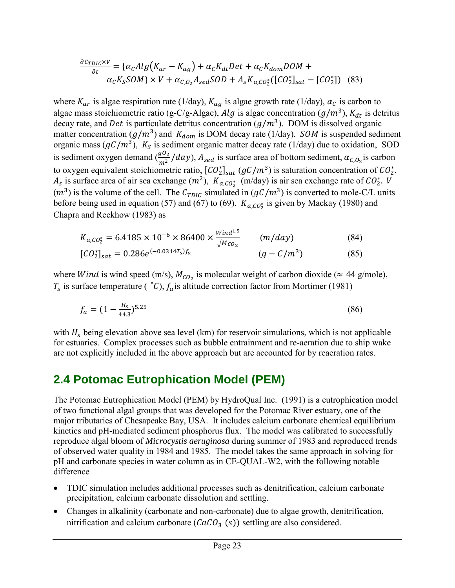$$
\frac{\partial c_{TDL} \times V}{\partial t} = \{ \alpha_C Alg(K_{ar} - K_{ag}) + \alpha_C K_{dt} Det + \alpha_C K_{dom} DOM + \alpha_C K_S SOM \} \times V + \alpha_{C, O_2} A_{sed} SOD + A_s K_{a, CO_2^*} ([CO_2^*]_{sat} - [CO_2^*])
$$
(83)

where  $K_{ar}$  is algae respiration rate (1/day),  $K_{ag}$  is algae growth rate (1/day),  $\alpha_c$  is carbon to algae mass stoichiometric ratio (g-C/g-Algae), Alg is algae concentration ( $g/m<sup>3</sup>$ ),  $K<sub>dt</sub>$  is detritus decay rate, and *Det* is particulate detritus concentration  $(g/m^3)$ . DOM is dissolved organic matter concentration  $(g/m^3)$  and  $K_{dom}$  is DOM decay rate (1/day). *SOM* is suspended sediment organic mass  $(gC/m^3)$ ,  $K_S$  is sediment organic matter decay rate (1/day) due to oxidation, SOD is sediment oxygen demand  $\left(\frac{g_0}{m^2}/day\right)$ ,  $A_{sed}$  is surface area of bottom sediment,  $\alpha_{C, O_2}$  is carbon to oxygen equivalent stoichiometric ratio,  $[CO_2^*]_{sat}$  (gC/m<sup>3</sup>) is saturation concentration of  $CO_2^*$ ,  $A_s$  is surface area of air sea exchange  $(m^2)$ ,  $K_{a,CO_2^*}$  (m/day) is air sea exchange rate of  $CO_2^*$ . V  $(m^3)$  is the volume of the cell. The  $C_{TDIC}$  simulated in  $(gC/m^3)$  is converted to mole-C/L units before being used in equation (57) and (67) to (69).  $K_{a,CO_2^*}$  is given by Mackay (1980) and Chapra and Reckhow (1983) as

$$
K_{a,CO_2^*} = 6.4185 \times 10^{-6} \times 86400 \times \frac{Wind^{1.5}}{\sqrt{M_{CO_2}}} \qquad (m/day)
$$
\n
$$
[CO_2^*]_{sat} = 0.286e^{(-0.0314T_s)f_a} \qquad (g - C/m^3)
$$
\n(85)

where *Wind* is wind speed (m/s),  $M_{CO_2}$  is molecular weight of carbon dioxide ( $\approx 44$  g/mole),  $T_s$  is surface temperature ( °C),  $f_a$  is altitude correction factor from Mortimer (1981)

$$
f_a = (1 - \frac{H_s}{44.3})^{5.25} \tag{86}
$$

with  $H_s$  being elevation above sea level (km) for reservoir simulations, which is not applicable for estuaries. Complex processes such as bubble entrainment and re-aeration due to ship wake are not explicitly included in the above approach but are accounted for by reaeration rates.

#### <span id="page-24-0"></span>**2.4 Potomac Eutrophication Model (PEM)**

The Potomac Eutrophication Model (PEM) by HydroQual Inc. (1991) is a eutrophication model of two functional algal groups that was developed for the Potomac River estuary, one of the major tributaries of Chesapeake Bay, USA. It includes calcium carbonate chemical equilibrium kinetics and pH-mediated sediment phosphorus flux. The model was calibrated to successfully reproduce algal bloom of *Microcystis aeruginosa* during summer of 1983 and reproduced trends of observed water quality in 1984 and 1985. The model takes the same approach in solving for pH and carbonate species in water column as in CE-QUAL-W2, with the following notable difference

- TDIC simulation includes additional processes such as denitrification, calcium carbonate precipitation, calcium carbonate dissolution and settling.
- Changes in alkalinity (carbonate and non-carbonate) due to algae growth, denitrification, nitrification and calcium carbonate ( $CaCO<sub>3</sub>(s)$ ) settling are also considered.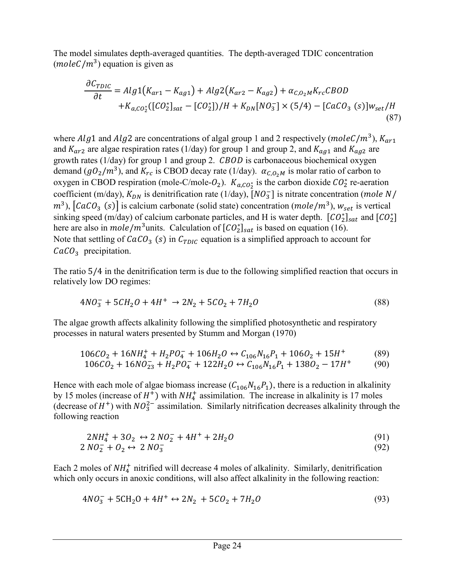The model simulates depth-averaged quantities. The depth-averaged TDIC concentration (*moleC/m*<sup>3</sup>) equation is given as

$$
\frac{\partial C_{TDIC}}{\partial t} = Alg1(K_{ar1} - K_{ag1}) + Alg2(K_{ar2} - K_{ag2}) + \alpha_{C, O_2M}K_{rc}CBOD
$$
  
+ $K_{a, CO_2^*}([CO_2^*]_{sat} - [CO_2^*])/H + K_{DN}[NO_3^-] \times (5/4) - [CaCO_3^-(s)]W_{set}/H$  (87)

where Alg1 and Alg2 are concentrations of algal group 1 and 2 respectively (moleC/ $m^3$ ),  $K_{ar1}$ and  $K_{ar2}$  are algae respiration rates (1/day) for group 1 and group 2, and  $K_{ag1}$  and  $K_{ag2}$  are growth rates ( $1$ /day) for group 1 and group 2.  $C BOD$  is carbonaceous biochemical oxygen demand  $(gO_2/m^3)$ , and  $K_{rc}$  is CBOD decay rate (1/day).  $\alpha_{C,0}$  is molar ratio of carbon to oxygen in CBOD respiration (mole-C/mole- $O_2$ ).  $K_{a, CO_2^*}$  is the carbon dioxide  $CO_2^*$  re-aeration coefficient (m/day),  $K_{DN}$  is denitrification rate (1/day), [NO<sub>3</sub>] is nitrate concentration (mole N/  $(m^3)$ ,  $\left[CaCO<sub>3</sub>(s)\right]$  is calcium carbonate (solid state) concentration (*mole*/ $m^3$ ),  $w_{set}$  is vertical sinking speed (m/day) of calcium carbonate particles, and H is water depth.  $[CO_2^*]_{sat}$  and  $[CO_2^*]$ here are also in *mole/m*<sup>3</sup>units. Calculation of  $[CO_2^*]_{sat}$  is based on equation (16). Note that settling of  $CaCO<sub>3</sub>$  (s) in  $C<sub>TDIC</sub>$  equation is a simplified approach to account for  $CaCO<sub>3</sub>$  precipitation.

The ratio 5/4 in the denitrification term is due to the following simplified reaction that occurs in relatively low DO regimes:

$$
4NO_3^- + 5CH_2O + 4H^+ \rightarrow 2N_2 + 5CO_2 + 7H_2O \tag{88}
$$

The algae growth affects alkalinity following the simplified photosynthetic and respiratory processes in natural waters presented by Stumm and Morgan (1970)

$$
106CO_2 + 16NH_4^+ + H_2PO_4^- + 106H_2O \leftrightarrow C_{106}N_{16}P_1 + 106O_2 + 15H^+ \tag{89}
$$
  

$$
106CO_2 + 16NO_{23}^- + H_2PO_4^- + 122H_2O \leftrightarrow C_{106}N_{16}P_1 + 138O_2 - 17H^+ \tag{90}
$$

Hence with each mole of algae biomass increase  $(C_{106}N_{16}P_1)$ , there is a reduction in alkalinity by 15 moles (increase of  $H^+$ ) with  $NH_4^+$  assimilation. The increase in alkalinity is 17 moles (decrease of  $H^+$ ) with  $NO_3^{2-}$  assimilation. Similarly nitrification decreases alkalinity through the following reaction

$$
2NH_4^+ + 3O_2 \leftrightarrow 2NO_2^- + 4H^+ + 2H_2O \tag{91}
$$
  
2  $NO_2^- + O_2 \leftrightarrow 2 NO_3^-$  (92)

Each 2 moles of  $NH_4^+$  nitrified will decrease 4 moles of alkalinity. Similarly, denitrification which only occurs in anoxic conditions, will also affect alkalinity in the following reaction:

$$
4NO_3^- + 5CH_2O + 4H^+ \leftrightarrow 2N_2 + 5CO_2 + 7H_2O \tag{93}
$$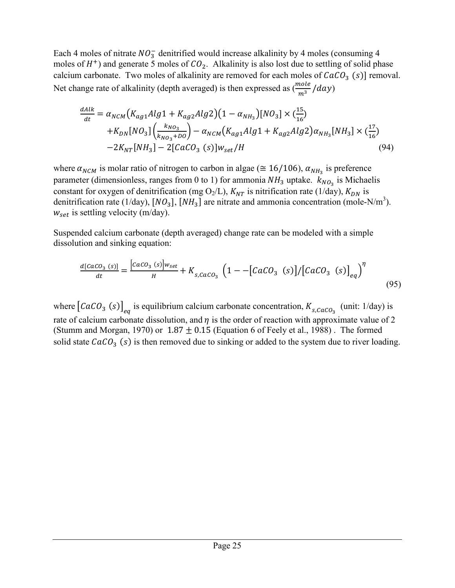Each 4 moles of nitrate  $NO_3^-$  denitrified would increase alkalinity by 4 moles (consuming 4 moles of  $H^+$ ) and generate 5 moles of  $CO_2$ . Alkalinity is also lost due to settling of solid phase calcium carbonate. Two moles of alkalinity are removed for each moles of  $CaCO<sub>3</sub>(s)$ ] removal. Net change rate of alkalinity (depth averaged) is then expressed as  $\left(\frac{mole}{m^3}/day\right)$ 

$$
\frac{dAlk}{dt} = \alpha_{NCM} \left( K_{ag1}Alg1 + K_{ag2}Alg2 \right) \left( 1 - \alpha_{NH_3} \right) \left[ NO_3 \right] \times \left( \frac{15}{16} \right)
$$
  
+
$$
K_{DN} [NO_3] \left( \frac{k_{NO_3}}{k_{NO_3} + DO} \right) - \alpha_{NCM} \left( K_{ag1}Alg1 + K_{ag2}Alg2 \right) \alpha_{NH_3} [NH_3] \times \left( \frac{17}{16} \right)
$$
  
-2
$$
K_{NT} [NH_3] - 2 \left[ CaCO_3 \right] \left( S \right) \left| W_{set} / H \right)
$$
(94)

where  $\alpha_{NCM}$  is molar ratio of nitrogen to carbon in algae ( $\approx 16/106$ ),  $\alpha_{NH_3}$  is preference parameter (dimensionless, ranges from 0 to 1) for ammonia  $NH_3$  uptake.  $k_{NQ_3}$  is Michaelis constant for oxygen of denitrification (mg O<sub>2</sub>/L),  $K_{NT}$  is nitrification rate (1/day),  $K_{DN}$  is denitrification rate (1/day),  $[NO_3]$ ,  $[NH_3]$  are nitrate and ammonia concentration (mole-N/m<sup>3</sup>).  $w_{set}$  is settling velocity (m/day).

Suspended calcium carbonate (depth averaged) change rate can be modeled with a simple dissolution and sinking equation:

$$
\frac{d[cac_{3}(s)]}{dt} = \frac{[cac_{3}(s)]w_{set}}{H} + K_{s, cac_{3}} \left(1 - \left[cac_{3}(s)\right]/[cac_{3}(s)]_{eq}\right)^{\eta}
$$
\n(95)

where  ${[CaCO<sub>3</sub>(s)]<sub>eq</sub>}$  is equilibrium calcium carbonate concentration,  $K_{s, CaCO<sub>3</sub>}$  (unit: 1/day) is rate of calcium carbonate dissolution, and  $\eta$  is the order of reaction with approximate value of 2 (Stumm and Morgan, 1970) or  $1.87 \pm 0.15$  (Equation 6 of Feely et al., 1988). The formed solid state  $CaCO<sub>3</sub>$  (s) is then removed due to sinking or added to the system due to river loading.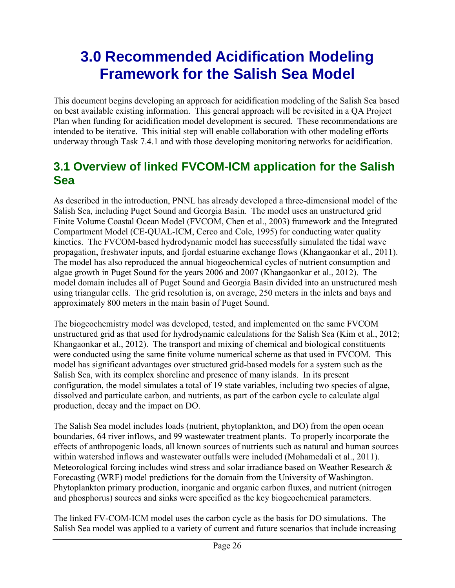## <span id="page-27-0"></span>**3.0 Recommended Acidification Modeling Framework for the Salish Sea Model**

This document begins developing an approach for acidification modeling of the Salish Sea based on best available existing information. This general approach will be revisited in a QA Project Plan when funding for acidification model development is secured. These recommendations are intended to be iterative. This initial step will enable collaboration with other modeling efforts underway through Task 7.4.1 and with those developing monitoring networks for acidification.

#### <span id="page-27-1"></span>**3.1 Overview of linked FVCOM-ICM application for the Salish Sea**

As described in the introduction, PNNL has already developed a three-dimensional model of the Salish Sea, including Puget Sound and Georgia Basin. The model uses an unstructured grid Finite Volume Coastal Ocean Model (FVCOM, Chen et al., 2003) framework and the Integrated Compartment Model (CE-QUAL-ICM, Cerco and Cole, 1995) for conducting water quality kinetics. The FVCOM-based hydrodynamic model has successfully simulated the tidal wave propagation, freshwater inputs, and fjordal estuarine exchange flows (Khangaonkar et al., 2011). The model has also reproduced the annual biogeochemical cycles of nutrient consumption and algae growth in Puget Sound for the years 2006 and 2007 (Khangaonkar et al., 2012). The model domain includes all of Puget Sound and Georgia Basin divided into an unstructured mesh using triangular cells. The grid resolution is, on average, 250 meters in the inlets and bays and approximately 800 meters in the main basin of Puget Sound.

The biogeochemistry model was developed, tested, and implemented on the same FVCOM unstructured grid as that used for hydrodynamic calculations for the Salish Sea (Kim et al., 2012; Khangaonkar et al., 2012). The transport and mixing of chemical and biological constituents were conducted using the same finite volume numerical scheme as that used in FVCOM. This model has significant advantages over structured grid-based models for a system such as the Salish Sea, with its complex shoreline and presence of many islands. In its present configuration, the model simulates a total of 19 state variables, including two species of algae, dissolved and particulate carbon, and nutrients, as part of the carbon cycle to calculate algal production, decay and the impact on DO.

The Salish Sea model includes loads (nutrient, phytoplankton, and DO) from the open ocean boundaries, 64 river inflows, and 99 wastewater treatment plants. To properly incorporate the effects of anthropogenic loads, all known sources of nutrients such as natural and human sources within watershed inflows and wastewater outfalls were included (Mohamedali et al., 2011). Meteorological forcing includes wind stress and solar irradiance based on Weather Research & Forecasting (WRF) model predictions for the domain from the University of Washington. Phytoplankton primary production, inorganic and organic carbon fluxes, and nutrient (nitrogen and phosphorus) sources and sinks were specified as the key biogeochemical parameters.

The linked FV-COM-ICM model uses the carbon cycle as the basis for DO simulations. The Salish Sea model was applied to a variety of current and future scenarios that include increasing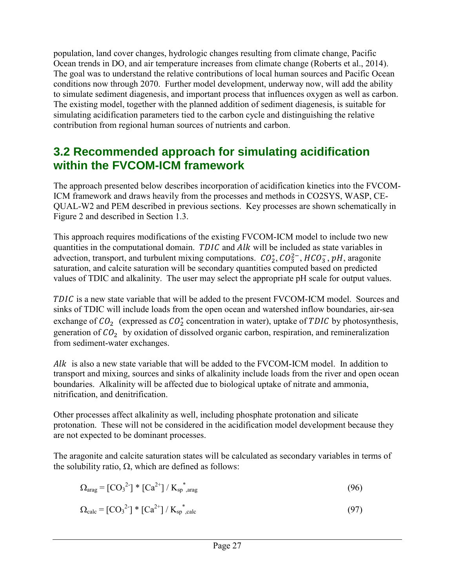population, land cover changes, hydrologic changes resulting from climate change, Pacific Ocean trends in DO, and air temperature increases from climate change (Roberts et al., 2014). The goal was to understand the relative contributions of local human sources and Pacific Ocean conditions now through 2070. Further model development, underway now, will add the ability to simulate sediment diagenesis, and important process that influences oxygen as well as carbon. The existing model, together with the planned addition of sediment diagenesis, is suitable for simulating acidification parameters tied to the carbon cycle and distinguishing the relative contribution from regional human sources of nutrients and carbon.

#### <span id="page-28-0"></span>**3.2 Recommended approach for simulating acidification within the FVCOM-ICM framework**

The approach presented below describes incorporation of acidification kinetics into the FVCOM-ICM framework and draws heavily from the processes and methods in CO2SYS, WASP, CE-QUAL-W2 and PEM described in previous sections. Key processes are shown schematically in Figure 2 and described in Section 1.3.

This approach requires modifications of the existing FVCOM-ICM model to include two new quantities in the computational domain.  $TDIC$  and  $Alk$  will be included as state variables in advection, transport, and turbulent mixing computations.  $CO_2^*$ ,  $CO_3^{2-}$ ,  $HCO_3^-$ ,  $pH$ , aragonite saturation, and calcite saturation will be secondary quantities computed based on predicted values of TDIC and alkalinity. The user may select the appropriate pH scale for output values.

TDIC is a new state variable that will be added to the present FVCOM-ICM model. Sources and sinks of TDIC will include loads from the open ocean and watershed inflow boundaries, air-sea exchange of  $CO_2$  (expressed as  $CO_2^*$  concentration in water), uptake of TDIC by photosynthesis, generation of  $CO<sub>2</sub>$  by oxidation of dissolved organic carbon, respiration, and remineralization from sediment-water exchanges.

 $Alk$  is also a new state variable that will be added to the FVCOM-ICM model. In addition to transport and mixing, sources and sinks of alkalinity include loads from the river and open ocean boundaries. Alkalinity will be affected due to biological uptake of nitrate and ammonia, nitrification, and denitrification.

Other processes affect alkalinity as well, including phosphate protonation and silicate protonation. These will not be considered in the acidification model development because they are not expected to be dominant processes.

The aragonite and calcite saturation states will be calculated as secondary variables in terms of the solubility ratio,  $Ω$ , which are defined as follows:

$$
\Omega_{\text{arag}} = [CO_3^{2-}] * [Ca^{2+}] / K_{\text{sp}}^*_{\text{,arag}} \tag{96}
$$

$$
\Omega_{\text{calc}} = [CO_3^{2-}] * [Ca^{2+}] / K_{\text{sp}}^*_{\text{,calc}} \tag{97}
$$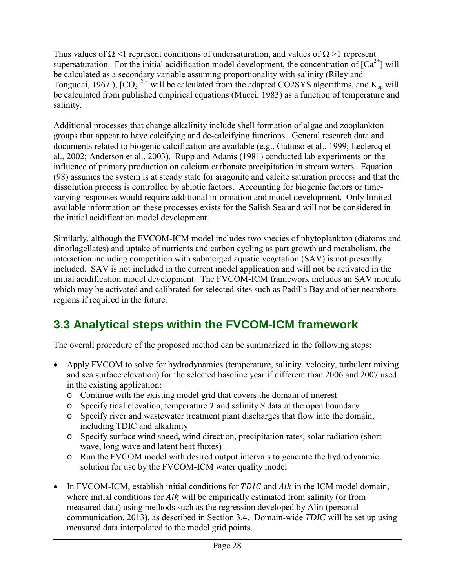Thus values of  $\Omega$  <1 represent conditions of undersaturation, and values of  $\Omega$  >1 represent supersaturation. For the initial acidification model development, the concentration of  $[Ca^{2+}]$  will be calculated as a secondary variable assuming proportionality with salinity (Riley and Tongudai, 1967),  $[CO<sub>3</sub> <sup>2</sup>]$  will be calculated from the adapted CO2SYS algorithms, and  $K<sub>sp</sub>$  will be calculated from published empirical equations (Mucci, 1983) as a function of temperature and salinity.

Additional processes that change alkalinity include shell formation of algae and zooplankton groups that appear to have calcifying and de-calcifying functions. General research data and documents related to biogenic calcification are available (e.g., Gattuso et al., 1999; Leclercq et al., 2002; Anderson et al., 2003). Rupp and Adams (1981) conducted lab experiments on the influence of primary production on calcium carbonate precipitation in stream waters. Equation (98) assumes the system is at steady state for aragonite and calcite saturation process and that the dissolution process is controlled by abiotic factors. Accounting for biogenic factors or timevarying responses would require additional information and model development. Only limited available information on these processes exists for the Salish Sea and will not be considered in the initial acidification model development.

Similarly, although the FVCOM-ICM model includes two species of phytoplankton (diatoms and dinoflagellates) and uptake of nutrients and carbon cycling as part growth and metabolism, the interaction including competition with submerged aquatic vegetation (SAV) is not presently included. SAV is not included in the current model application and will not be activated in the initial acidification model development. The FVCOM-ICM framework includes an SAV module which may be activated and calibrated for selected sites such as Padilla Bay and other nearshore regions if required in the future.

## <span id="page-29-0"></span>**3.3 Analytical steps within the FVCOM-ICM framework**

The overall procedure of the proposed method can be summarized in the following steps:

- Apply FVCOM to solve for hydrodynamics (temperature, salinity, velocity, turbulent mixing and sea surface elevation) for the selected baseline year if different than 2006 and 2007 used in the existing application:
	- o Continue with the existing model grid that covers the domain of interest
	- o Specify tidal elevation, temperature *T* and salinity *S* data at the open boundary
	- o Specify river and wastewater treatment plant discharges that flow into the domain, including TDIC and alkalinity
	- o Specify surface wind speed, wind direction, precipitation rates, solar radiation (short wave, long wave and latent heat fluxes)
	- o Run the FVCOM model with desired output intervals to generate the hydrodynamic solution for use by the FVCOM-ICM water quality model
- In FVCOM-ICM, establish initial conditions for  $TDIC$  and  $Alk$  in the ICM model domain, where initial conditions for  $Alk$  will be empirically estimated from salinity (or from measured data) using methods such as the regression developed by Alin (personal communication, 2013), as described in Section 3.4. Domain-wide *TDIC* will be set up using measured data interpolated to the model grid points.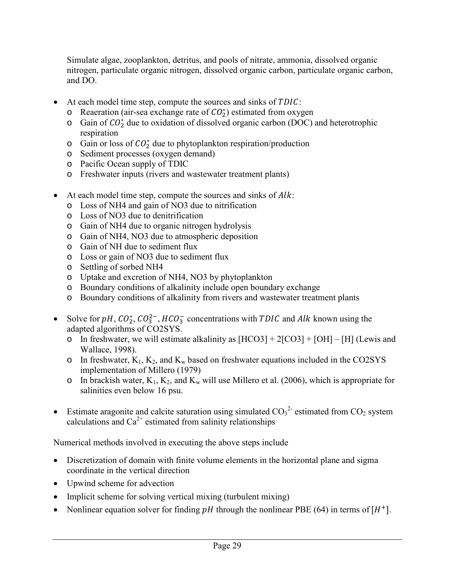Simulate algae, zooplankton, detritus, and pools of nitrate, ammonia, dissolved organic nitrogen, particulate organic nitrogen, dissolved organic carbon, particulate organic carbon, and DO.

- At each model time step, compute the sources and sinks of  $TDIC$ :
	- $\circ$  Reaeration (air-sea exchange rate of  $CO_2^*$ ) estimated from oxygen
	- $\circ$  Gain of  $CO_2^*$  due to oxidation of dissolved organic carbon (DOC) and heterotrophic respiration
	- $\circ$  Gain or loss of  $CO_2^*$  due to phytoplankton respiration/production
	- o Sediment processes (oxygen demand)
	- o Pacific Ocean supply of TDIC
	- o Freshwater inputs (rivers and wastewater treatment plants)
- At each model time step, compute the sources and sinks of  $Alk$ :
	- o Loss of NH4 and gain of NO3 due to nitrification
	- o Loss of NO3 due to denitrification
	- o Gain of NH4 due to organic nitrogen hydrolysis
	- o Gain of NH4, NO3 due to atmospheric deposition
	- o Gain of NH due to sediment flux
	- o Loss or gain of NO3 due to sediment flux
	- o Settling of sorbed NH4
	- o Uptake and excretion of NH4, NO3 by phytoplankton
	- o Boundary conditions of alkalinity include open boundary exchange
	- o Boundary conditions of alkalinity from rivers and wastewater treatment plants
- Solve for pH,  $CO_2^*$ ,  $CO_3^{2-}$ ,  $HCO_3^-$  concentrations with TDIC and Alk known using the adapted algorithms of CO2SYS.
	- o In freshwater, we will estimate alkalinity as  $[HCO3] + 2[CO3] + [OH] [H]$  (Lewis and Wallace, 1998).
	- $\circ$  In freshwater, K<sub>1</sub>, K<sub>2</sub>, and K<sub>w</sub> based on freshwater equations included in the CO2SYS implementation of Millero (1979)
	- o In brackish water,  $K_1, K_2$ , and  $K_w$  will use Millero et al. (2006), which is appropriate for salinities even below 16 psu.
- Estimate aragonite and calcite saturation using simulated  $CO_3^2$  estimated from  $CO_2$  system calculations and  $Ca^{2+}$  estimated from salinity relationships

Numerical methods involved in executing the above steps include

- Discretization of domain with finite volume elements in the horizontal plane and sigma coordinate in the vertical direction
- Upwind scheme for advection
- Implicit scheme for solving vertical mixing (turbulent mixing)
- Nonlinear equation solver for finding  $pH$  through the nonlinear PBE (64) in terms of  $[H^+]$ .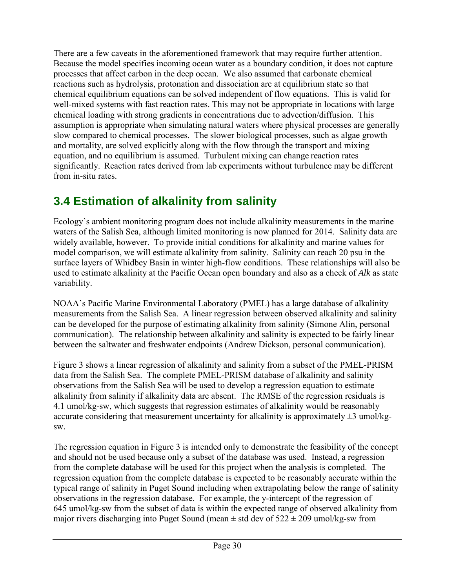There are a few caveats in the aforementioned framework that may require further attention. Because the model specifies incoming ocean water as a boundary condition, it does not capture processes that affect carbon in the deep ocean. We also assumed that carbonate chemical reactions such as hydrolysis, protonation and dissociation are at equilibrium state so that chemical equilibrium equations can be solved independent of flow equations. This is valid for well-mixed systems with fast reaction rates. This may not be appropriate in locations with large chemical loading with strong gradients in concentrations due to advection/diffusion. This assumption is appropriate when simulating natural waters where physical processes are generally slow compared to chemical processes. The slower biological processes, such as algae growth and mortality, are solved explicitly along with the flow through the transport and mixing equation, and no equilibrium is assumed. Turbulent mixing can change reaction rates significantly. Reaction rates derived from lab experiments without turbulence may be different from in-situ rates.

## <span id="page-31-0"></span>**3.4 Estimation of alkalinity from salinity**

Ecology's ambient monitoring program does not include alkalinity measurements in the marine waters of the Salish Sea, although limited monitoring is now planned for 2014. Salinity data are widely available, however. To provide initial conditions for alkalinity and marine values for model comparison, we will estimate alkalinity from salinity. Salinity can reach 20 psu in the surface layers of Whidbey Basin in winter high-flow conditions. These relationships will also be used to estimate alkalinity at the Pacific Ocean open boundary and also as a check of *Alk* as state variability.

NOAA's Pacific Marine Environmental Laboratory (PMEL) has a large database of alkalinity measurements from the Salish Sea. A linear regression between observed alkalinity and salinity can be developed for the purpose of estimating alkalinity from salinity (Simone Alin, personal communication). The relationship between alkalinity and salinity is expected to be fairly linear between the saltwater and freshwater endpoints (Andrew Dickson, personal communication).

Figure 3 shows a linear regression of alkalinity and salinity from a subset of the PMEL-PRISM data from the Salish Sea. The complete PMEL-PRISM database of alkalinity and salinity observations from the Salish Sea will be used to develop a regression equation to estimate alkalinity from salinity if alkalinity data are absent. The RMSE of the regression residuals is 4.1 umol/kg-sw, which suggests that regression estimates of alkalinity would be reasonably accurate considering that measurement uncertainty for alkalinity is approximately  $\pm 3$  umol/kgsw.

The regression equation in Figure 3 is intended only to demonstrate the feasibility of the concept and should not be used because only a subset of the database was used. Instead, a regression from the complete database will be used for this project when the analysis is completed. The regression equation from the complete database is expected to be reasonably accurate within the typical range of salinity in Puget Sound including when extrapolating below the range of salinity observations in the regression database. For example, the y-intercept of the regression of 645 umol/kg-sw from the subset of data is within the expected range of observed alkalinity from major rivers discharging into Puget Sound (mean  $\pm$  std dev of 522  $\pm$  209 umol/kg-sw from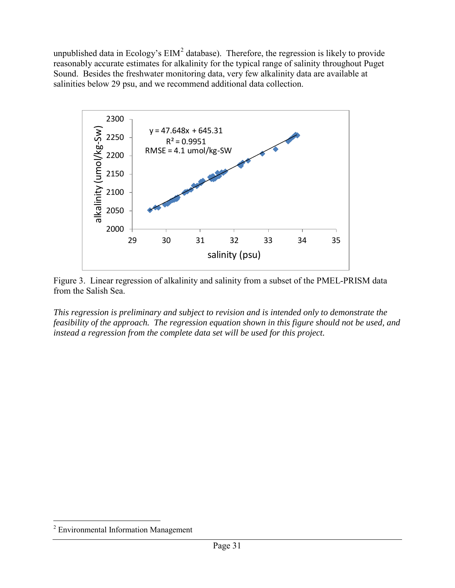unpublished data in Ecology's  $EM^2$  $EM^2$  database). Therefore, the regression is likely to provide reasonably accurate estimates for alkalinity for the typical range of salinity throughout Puget Sound. Besides the freshwater monitoring data, very few alkalinity data are available at salinities below 29 psu, and we recommend additional data collection.



<span id="page-32-0"></span>Figure 3. Linear regression of alkalinity and salinity from a subset of the PMEL-PRISM data from the Salish Sea.

*This regression is preliminary and subject to revision and is intended only to demonstrate the feasibility of the approach. The regression equation shown in this figure should not be used, and instead a regression from the complete data set will be used for this project.* 

<span id="page-32-1"></span> $\overline{a}$ <sup>2</sup> Environmental Information Management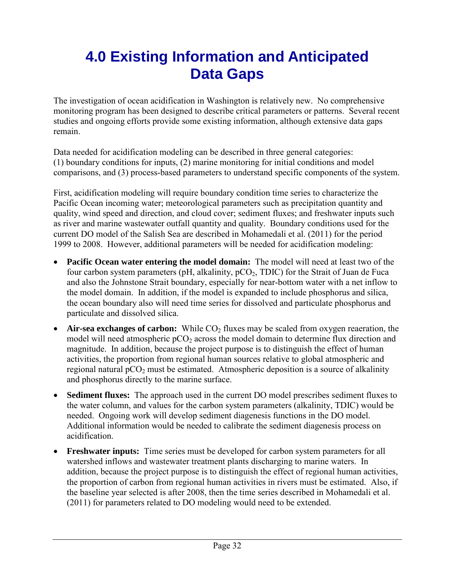## <span id="page-33-0"></span>**4.0 Existing Information and Anticipated Data Gaps**

The investigation of ocean acidification in Washington is relatively new. No comprehensive monitoring program has been designed to describe critical parameters or patterns. Several recent studies and ongoing efforts provide some existing information, although extensive data gaps remain.

Data needed for acidification modeling can be described in three general categories: (1) boundary conditions for inputs, (2) marine monitoring for initial conditions and model comparisons, and (3) process-based parameters to understand specific components of the system.

First, acidification modeling will require boundary condition time series to characterize the Pacific Ocean incoming water; meteorological parameters such as precipitation quantity and quality, wind speed and direction, and cloud cover; sediment fluxes; and freshwater inputs such as river and marine wastewater outfall quantity and quality. Boundary conditions used for the current DO model of the Salish Sea are described in Mohamedali et al. (2011) for the period 1999 to 2008. However, additional parameters will be needed for acidification modeling:

- **Pacific Ocean water entering the model domain:** The model will need at least two of the four carbon system parameters (pH, alkalinity,  $pCO<sub>2</sub>$ , TDIC) for the Strait of Juan de Fuca and also the Johnstone Strait boundary, especially for near-bottom water with a net inflow to the model domain. In addition, if the model is expanded to include phosphorus and silica, the ocean boundary also will need time series for dissolved and particulate phosphorus and particulate and dissolved silica.
- Air-sea exchanges of carbon: While CO<sub>2</sub> fluxes may be scaled from oxygen reaeration, the model will need atmospheric  $pCO<sub>2</sub>$  across the model domain to determine flux direction and magnitude. In addition, because the project purpose is to distinguish the effect of human activities, the proportion from regional human sources relative to global atmospheric and regional natural  $pCO<sub>2</sub>$  must be estimated. Atmospheric deposition is a source of alkalinity and phosphorus directly to the marine surface.
- **Sediment fluxes:** The approach used in the current DO model prescribes sediment fluxes to the water column, and values for the carbon system parameters (alkalinity, TDIC) would be needed. Ongoing work will develop sediment diagenesis functions in the DO model. Additional information would be needed to calibrate the sediment diagenesis process on acidification.
- **Freshwater inputs:** Time series must be developed for carbon system parameters for all watershed inflows and wastewater treatment plants discharging to marine waters. In addition, because the project purpose is to distinguish the effect of regional human activities, the proportion of carbon from regional human activities in rivers must be estimated. Also, if the baseline year selected is after 2008, then the time series described in Mohamedali et al. (2011) for parameters related to DO modeling would need to be extended.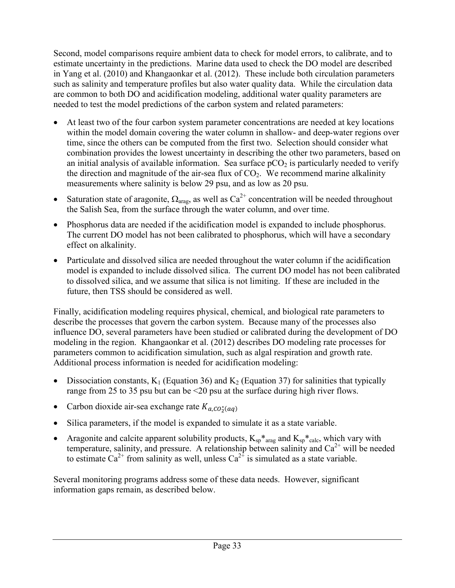Second, model comparisons require ambient data to check for model errors, to calibrate, and to estimate uncertainty in the predictions. Marine data used to check the DO model are described in Yang et al. (2010) and Khangaonkar et al. (2012). These include both circulation parameters such as salinity and temperature profiles but also water quality data. While the circulation data are common to both DO and acidification modeling, additional water quality parameters are needed to test the model predictions of the carbon system and related parameters:

- At least two of the four carbon system parameter concentrations are needed at key locations within the model domain covering the water column in shallow- and deep-water regions over time, since the others can be computed from the first two. Selection should consider what combination provides the lowest uncertainty in describing the other two parameters, based on an initial analysis of available information. Sea surface  $pCO<sub>2</sub>$  is particularly needed to verify the direction and magnitude of the air-sea flux of  $CO<sub>2</sub>$ . We recommend marine alkalinity measurements where salinity is below 29 psu, and as low as 20 psu.
- Saturation state of aragonite,  $\Omega_{\text{arag}}$ , as well as  $Ca^{2+}$  concentration will be needed throughout the Salish Sea, from the surface through the water column, and over time.
- Phosphorus data are needed if the acidification model is expanded to include phosphorus. The current DO model has not been calibrated to phosphorus, which will have a secondary effect on alkalinity.
- Particulate and dissolved silica are needed throughout the water column if the acidification model is expanded to include dissolved silica. The current DO model has not been calibrated to dissolved silica, and we assume that silica is not limiting. If these are included in the future, then TSS should be considered as well.

Finally, acidification modeling requires physical, chemical, and biological rate parameters to describe the processes that govern the carbon system. Because many of the processes also influence DO, several parameters have been studied or calibrated during the development of DO modeling in the region. Khangaonkar et al. (2012) describes DO modeling rate processes for parameters common to acidification simulation, such as algal respiration and growth rate. Additional process information is needed for acidification modeling:

- Dissociation constants,  $K_1$  (Equation 36) and  $K_2$  (Equation 37) for salinities that typically range from 25 to 35 psu but can be <20 psu at the surface during high river flows.
- Carbon dioxide air-sea exchange rate  $K_{a, CO_2^*(aq)}$
- Silica parameters, if the model is expanded to simulate it as a state variable.
- Aragonite and calcite apparent solubility products,  $K_{sp} *_{\text{arag}}$  and  $K_{sp} *_{\text{calc}}$ , which vary with temperature, salinity, and pressure. A relationship between salinity and  $Ca<sup>2+</sup>$  will be needed to estimate Ca<sup>2+</sup> from salinity as well, unless  $Ca^{2+}$  is simulated as a state variable.

Several monitoring programs address some of these data needs. However, significant information gaps remain, as described below.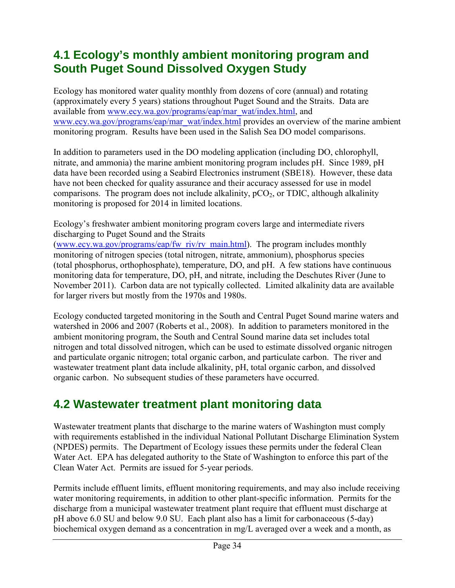#### <span id="page-35-0"></span>**4.1 Ecology's monthly ambient monitoring program and South Puget Sound Dissolved Oxygen Study**

Ecology has monitored water quality monthly from dozens of core (annual) and rotating (approximately every 5 years) stations throughout Puget Sound and the Straits. Data are available from [www.ecy.wa.gov/programs/eap/mar\\_wat/index.html,](http://www.ecy.wa.gov/programs/eap/mar_wat/index.html) and [www.ecy.wa.gov/programs/eap/mar\\_wat/index.html](http://www.ecy.wa.gov/programs/eap/mar_wat/index.html) provides an overview of the marine ambient monitoring program. Results have been used in the Salish Sea DO model comparisons.

In addition to parameters used in the DO modeling application (including DO, chlorophyll, nitrate, and ammonia) the marine ambient monitoring program includes pH. Since 1989, pH data have been recorded using a Seabird Electronics instrument (SBE18). However, these data have not been checked for quality assurance and their accuracy assessed for use in model comparisons. The program does not include alkalinity,  $pCO<sub>2</sub>$ , or TDIC, although alkalinity monitoring is proposed for 2014 in limited locations.

Ecology's freshwater ambient monitoring program covers large and intermediate rivers discharging to Puget Sound and the Straits [\(www.ecy.wa.gov/programs/eap/fw\\_riv/rv\\_main.html\)](http://www.ecy.wa.gov/programs/eap/fw_riv/rv_main.html). The program includes monthly

monitoring of nitrogen species (total nitrogen, nitrate, ammonium), phosphorus species (total phosphorus, orthophosphate), temperature, DO, and pH. A few stations have continuous monitoring data for temperature, DO, pH, and nitrate, including the Deschutes River (June to November 2011). Carbon data are not typically collected. Limited alkalinity data are available for larger rivers but mostly from the 1970s and 1980s.

Ecology conducted targeted monitoring in the South and Central Puget Sound marine waters and watershed in 2006 and 2007 (Roberts et al., 2008). In addition to parameters monitored in the ambient monitoring program, the South and Central Sound marine data set includes total nitrogen and total dissolved nitrogen, which can be used to estimate dissolved organic nitrogen and particulate organic nitrogen; total organic carbon, and particulate carbon. The river and wastewater treatment plant data include alkalinity, pH, total organic carbon, and dissolved organic carbon. No subsequent studies of these parameters have occurred.

### <span id="page-35-1"></span>**4.2 Wastewater treatment plant monitoring data**

Wastewater treatment plants that discharge to the marine waters of Washington must comply with requirements established in the individual National Pollutant Discharge Elimination System (NPDES) permits. The Department of Ecology issues these permits under the federal Clean Water Act. EPA has delegated authority to the State of Washington to enforce this part of the Clean Water Act. Permits are issued for 5-year periods.

Permits include effluent limits, effluent monitoring requirements, and may also include receiving water monitoring requirements, in addition to other plant-specific information. Permits for the discharge from a municipal wastewater treatment plant require that effluent must discharge at pH above 6.0 SU and below 9.0 SU. Each plant also has a limit for carbonaceous (5-day) biochemical oxygen demand as a concentration in mg/L averaged over a week and a month, as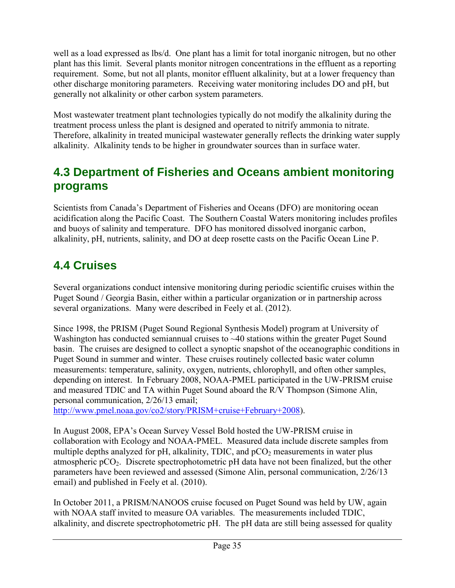well as a load expressed as lbs/d. One plant has a limit for total inorganic nitrogen, but no other plant has this limit. Several plants monitor nitrogen concentrations in the effluent as a reporting requirement. Some, but not all plants, monitor effluent alkalinity, but at a lower frequency than other discharge monitoring parameters. Receiving water monitoring includes DO and pH, but generally not alkalinity or other carbon system parameters.

Most wastewater treatment plant technologies typically do not modify the alkalinity during the treatment process unless the plant is designed and operated to nitrify ammonia to nitrate. Therefore, alkalinity in treated municipal wastewater generally reflects the drinking water supply alkalinity. Alkalinity tends to be higher in groundwater sources than in surface water.

### <span id="page-36-0"></span>**4.3 Department of Fisheries and Oceans ambient monitoring programs**

Scientists from Canada's Department of Fisheries and Oceans (DFO) are monitoring ocean acidification along the Pacific Coast. The Southern Coastal Waters monitoring includes profiles and buoys of salinity and temperature. DFO has monitored dissolved inorganic carbon, alkalinity, pH, nutrients, salinity, and DO at deep rosette casts on the Pacific Ocean Line P.

### <span id="page-36-1"></span>**4.4 Cruises**

Several organizations conduct intensive monitoring during periodic scientific cruises within the Puget Sound / Georgia Basin, either within a particular organization or in partnership across several organizations. Many were described in Feely et al. (2012).

Since 1998, the PRISM (Puget Sound Regional Synthesis Model) program at University of Washington has conducted semiannual cruises to ~40 stations within the greater Puget Sound basin. The cruises are designed to collect a synoptic snapshot of the oceanographic conditions in Puget Sound in summer and winter. These cruises routinely collected basic water column measurements: temperature, salinity, oxygen, nutrients, chlorophyll, and often other samples, depending on interest. In February 2008, NOAA-PMEL participated in the UW-PRISM cruise and measured TDIC and TA within Puget Sound aboard the R/V Thompson (Simone Alin, personal communication, 2/26/13 email;

[http://www.pmel.noaa.gov/co2/story/PRISM+cruise+February+2008\)](http://www.pmel.noaa.gov/co2/story/PRISM+cruise+February+2008).

In August 2008, EPA's Ocean Survey Vessel Bold hosted the UW-PRISM cruise in collaboration with Ecology and NOAA-PMEL. Measured data include discrete samples from multiple depths analyzed for pH, alkalinity, TDIC, and  $pCO<sub>2</sub>$  measurements in water plus atmospheric  $pCO<sub>2</sub>$ . Discrete spectrophotometric pH data have not been finalized, but the other parameters have been reviewed and assessed (Simone Alin, personal communication, 2/26/13 email) and published in Feely et al. (2010).

In October 2011, a PRISM/NANOOS cruise focused on Puget Sound was held by UW, again with NOAA staff invited to measure OA variables. The measurements included TDIC, alkalinity, and discrete spectrophotometric pH. The pH data are still being assessed for quality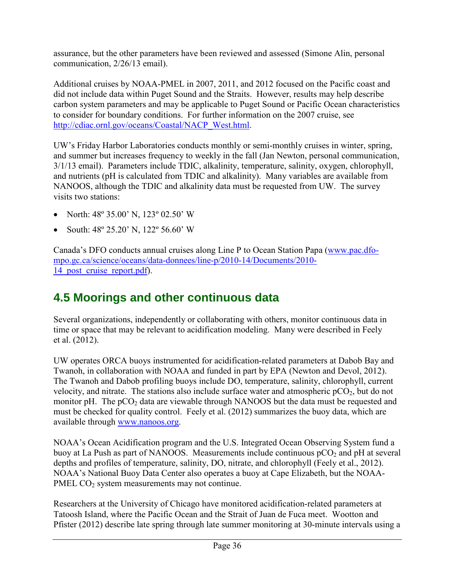assurance, but the other parameters have been reviewed and assessed (Simone Alin, personal communication, 2/26/13 email).

Additional cruises by NOAA-PMEL in 2007, 2011, and 2012 focused on the Pacific coast and did not include data within Puget Sound and the Straits. However, results may help describe carbon system parameters and may be applicable to Puget Sound or Pacific Ocean characteristics to consider for boundary conditions. For further information on the 2007 cruise, see [http://cdiac.ornl.gov/oceans/Coastal/NACP\\_West.html.](http://cdiac.ornl.gov/oceans/Coastal/NACP_West.html)

UW's Friday Harbor Laboratories conducts monthly or semi-monthly cruises in winter, spring, and summer but increases frequency to weekly in the fall (Jan Newton, personal communication, 3/1/13 email). Parameters include TDIC, alkalinity, temperature, salinity, oxygen, chlorophyll, and nutrients (pH is calculated from TDIC and alkalinity). Many variables are available from NANOOS, although the TDIC and alkalinity data must be requested from UW. The survey visits two stations:

- North: 48º 35.00' N, 123º 02.50' W
- South: 48º 25.20' N, 122º 56.60' W

Canada's DFO conducts annual cruises along Line P to Ocean Station Papa [\(www.pac.dfo](http://www.pac.dfo-mpo.gc.ca/science/oceans/data-donnees/line-p/2010-14/Documents/2010-14_post_cruise_report.pdf)[mpo.gc.ca/science/oceans/data-donnees/line-p/2010-14/Documents/2010-](http://www.pac.dfo-mpo.gc.ca/science/oceans/data-donnees/line-p/2010-14/Documents/2010-14_post_cruise_report.pdf) 14 post cruise report.pdf).

## <span id="page-37-0"></span>**4.5 Moorings and other continuous data**

Several organizations, independently or collaborating with others, monitor continuous data in time or space that may be relevant to acidification modeling. Many were described in Feely et al. (2012).

UW operates ORCA buoys instrumented for acidification-related parameters at Dabob Bay and Twanoh, in collaboration with NOAA and funded in part by EPA (Newton and Devol, 2012). The Twanoh and Dabob profiling buoys include DO, temperature, salinity, chlorophyll, current velocity, and nitrate. The stations also include surface water and atmospheric  $pCO<sub>2</sub>$ , but do not monitor pH. The pCO<sub>2</sub> data are viewable through NANOOS but the data must be requested and must be checked for quality control. Feely et al. (2012) summarizes the buoy data, which are available through [www.nanoos.org.](http://www.nanoos.org/)

NOAA's Ocean Acidification program and the U.S. Integrated Ocean Observing System fund a buoy at La Push as part of NANOOS. Measurements include continuous  $pCO<sub>2</sub>$  and pH at several depths and profiles of temperature, salinity, DO, nitrate, and chlorophyll (Feely et al., 2012). NOAA's National Buoy Data Center also operates a buoy at Cape Elizabeth, but the NOAA-PMEL CO<sub>2</sub> system measurements may not continue.

Researchers at the University of Chicago have monitored acidification-related parameters at Tatoosh Island, where the Pacific Ocean and the Strait of Juan de Fuca meet. Wootton and Pfister (2012) describe late spring through late summer monitoring at 30-minute intervals using a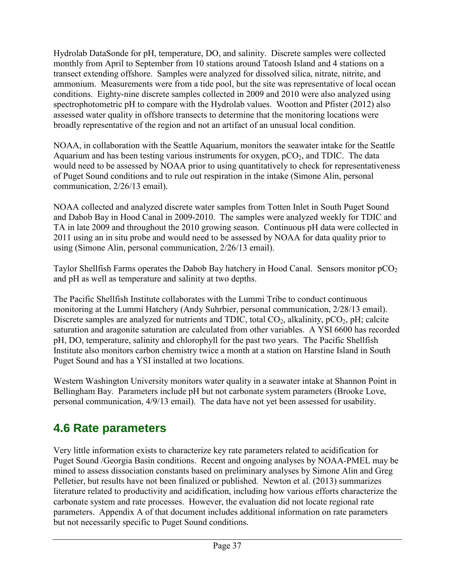Hydrolab DataSonde for pH, temperature, DO, and salinity. Discrete samples were collected monthly from April to September from 10 stations around Tatoosh Island and 4 stations on a transect extending offshore. Samples were analyzed for dissolved silica, nitrate, nitrite, and ammonium. Measurements were from a tide pool, but the site was representative of local ocean conditions. Eighty-nine discrete samples collected in 2009 and 2010 were also analyzed using spectrophotometric pH to compare with the Hydrolab values. Wootton and Pfister (2012) also assessed water quality in offshore transects to determine that the monitoring locations were broadly representative of the region and not an artifact of an unusual local condition.

NOAA, in collaboration with the Seattle Aquarium, monitors the seawater intake for the Seattle Aquarium and has been testing various instruments for oxygen,  $pCO<sub>2</sub>$ , and TDIC. The data would need to be assessed by NOAA prior to using quantitatively to check for representativeness of Puget Sound conditions and to rule out respiration in the intake (Simone Alin, personal communication, 2/26/13 email).

NOAA collected and analyzed discrete water samples from Totten Inlet in South Puget Sound and Dabob Bay in Hood Canal in 2009-2010. The samples were analyzed weekly for TDIC and TA in late 2009 and throughout the 2010 growing season. Continuous pH data were collected in 2011 using an in situ probe and would need to be assessed by NOAA for data quality prior to using (Simone Alin, personal communication, 2/26/13 email).

Taylor Shellfish Farms operates the Dabob Bay hatchery in Hood Canal. Sensors monitor  $pCO<sub>2</sub>$ and pH as well as temperature and salinity at two depths.

The Pacific Shellfish Institute collaborates with the Lummi Tribe to conduct continuous monitoring at the Lummi Hatchery (Andy Suhrbier, personal communication, 2/28/13 email). Discrete samples are analyzed for nutrients and TDIC, total  $CO<sub>2</sub>$ , alkalinity,  $pCO<sub>2</sub>$ ,  $pH$ ; calcite saturation and aragonite saturation are calculated from other variables. A YSI 6600 has recorded pH, DO, temperature, salinity and chlorophyll for the past two years. The Pacific Shellfish Institute also monitors carbon chemistry twice a month at a station on Harstine Island in South Puget Sound and has a YSI installed at two locations.

Western Washington University monitors water quality in a seawater intake at Shannon Point in Bellingham Bay. Parameters include pH but not carbonate system parameters (Brooke Love, personal communication, 4/9/13 email). The data have not yet been assessed for usability.

### <span id="page-38-0"></span>**4.6 Rate parameters**

Very little information exists to characterize key rate parameters related to acidification for Puget Sound /Georgia Basin conditions. Recent and ongoing analyses by NOAA-PMEL may be mined to assess dissociation constants based on preliminary analyses by Simone Alin and Greg Pelletier, but results have not been finalized or published. Newton et al. (2013) summarizes literature related to productivity and acidification, including how various efforts characterize the carbonate system and rate processes. However, the evaluation did not locate regional rate parameters. Appendix A of that document includes additional information on rate parameters but not necessarily specific to Puget Sound conditions.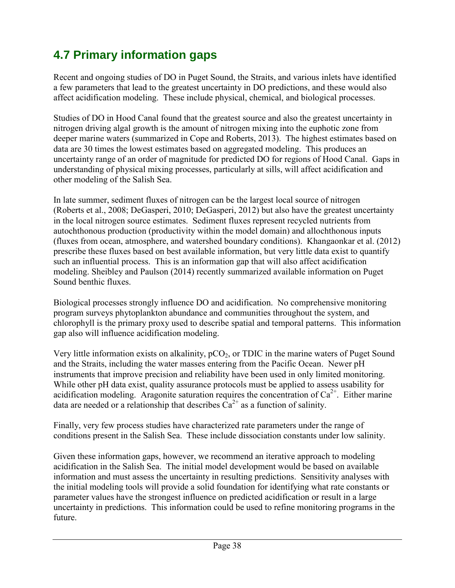## <span id="page-39-0"></span>**4.7 Primary information gaps**

Recent and ongoing studies of DO in Puget Sound, the Straits, and various inlets have identified a few parameters that lead to the greatest uncertainty in DO predictions, and these would also affect acidification modeling. These include physical, chemical, and biological processes.

Studies of DO in Hood Canal found that the greatest source and also the greatest uncertainty in nitrogen driving algal growth is the amount of nitrogen mixing into the euphotic zone from deeper marine waters (summarized in Cope and Roberts, 2013). The highest estimates based on data are 30 times the lowest estimates based on aggregated modeling. This produces an uncertainty range of an order of magnitude for predicted DO for regions of Hood Canal. Gaps in understanding of physical mixing processes, particularly at sills, will affect acidification and other modeling of the Salish Sea.

In late summer, sediment fluxes of nitrogen can be the largest local source of nitrogen (Roberts et al., 2008; DeGasperi, 2010; DeGasperi, 2012) but also have the greatest uncertainty in the local nitrogen source estimates. Sediment fluxes represent recycled nutrients from autochthonous production (productivity within the model domain) and allochthonous inputs (fluxes from ocean, atmosphere, and watershed boundary conditions). Khangaonkar et al. (2012) prescribe these fluxes based on best available information, but very little data exist to quantify such an influential process. This is an information gap that will also affect acidification modeling. Sheibley and Paulson (2014) recently summarized available information on Puget Sound benthic fluxes.

Biological processes strongly influence DO and acidification. No comprehensive monitoring program surveys phytoplankton abundance and communities throughout the system, and chlorophyll is the primary proxy used to describe spatial and temporal patterns. This information gap also will influence acidification modeling.

Very little information exists on alkalinity,  $pCO<sub>2</sub>$ , or TDIC in the marine waters of Puget Sound and the Straits, including the water masses entering from the Pacific Ocean. Newer pH instruments that improve precision and reliability have been used in only limited monitoring. While other pH data exist, quality assurance protocols must be applied to assess usability for acidification modeling. Aragonite saturation requires the concentration of  $Ca<sup>2+</sup>$ . Either marine data are needed or a relationship that describes  $Ca^{2+}$  as a function of salinity.

Finally, very few process studies have characterized rate parameters under the range of conditions present in the Salish Sea. These include dissociation constants under low salinity.

Given these information gaps, however, we recommend an iterative approach to modeling acidification in the Salish Sea. The initial model development would be based on available information and must assess the uncertainty in resulting predictions. Sensitivity analyses with the initial modeling tools will provide a solid foundation for identifying what rate constants or parameter values have the strongest influence on predicted acidification or result in a large uncertainty in predictions. This information could be used to refine monitoring programs in the future.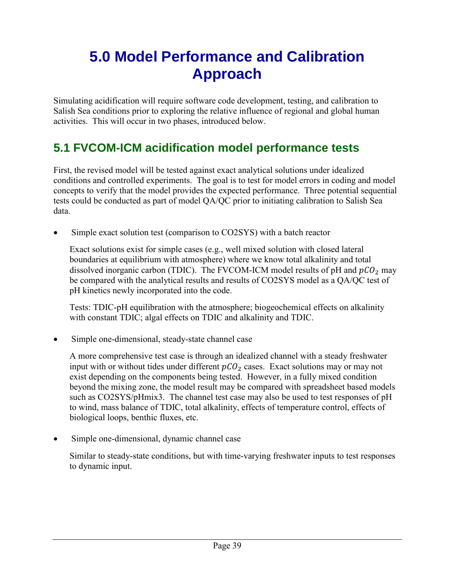## <span id="page-40-0"></span>**5.0 Model Performance and Calibration Approach**

Simulating acidification will require software code development, testing, and calibration to Salish Sea conditions prior to exploring the relative influence of regional and global human activities. This will occur in two phases, introduced below.

### <span id="page-40-1"></span>**5.1 FVCOM-ICM acidification model performance tests**

First, the revised model will be tested against exact analytical solutions under idealized conditions and controlled experiments. The goal is to test for model errors in coding and model concepts to verify that the model provides the expected performance. Three potential sequential tests could be conducted as part of model QA/QC prior to initiating calibration to Salish Sea data.

• Simple exact solution test (comparison to CO2SYS) with a batch reactor

Exact solutions exist for simple cases (e.g., well mixed solution with closed lateral boundaries at equilibrium with atmosphere) where we know total alkalinity and total dissolved inorganic carbon (TDIC). The FVCOM-ICM model results of pH and  $pCO<sub>2</sub>$  may be compared with the analytical results and results of CO2SYS model as a QA/QC test of pH kinetics newly incorporated into the code.

Tests: TDIC-pH equilibration with the atmosphere; biogeochemical effects on alkalinity with constant TDIC; algal effects on TDIC and alkalinity and TDIC.

• Simple one-dimensional, steady-state channel case

A more comprehensive test case is through an idealized channel with a steady freshwater input with or without tides under different  $pCO<sub>2</sub>$  cases. Exact solutions may or may not exist depending on the components being tested. However, in a fully mixed condition beyond the mixing zone, the model result may be compared with spreadsheet based models such as CO2SYS/pHmix3. The channel test case may also be used to test responses of pH to wind, mass balance of TDIC, total alkalinity, effects of temperature control, effects of biological loops, benthic fluxes, etc.

• Simple one-dimensional, dynamic channel case

Similar to steady-state conditions, but with time-varying freshwater inputs to test responses to dynamic input.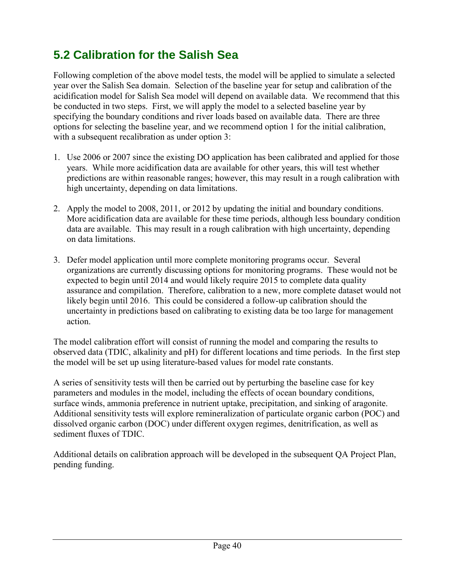### <span id="page-41-0"></span>**5.2 Calibration for the Salish Sea**

Following completion of the above model tests, the model will be applied to simulate a selected year over the Salish Sea domain. Selection of the baseline year for setup and calibration of the acidification model for Salish Sea model will depend on available data. We recommend that this be conducted in two steps. First, we will apply the model to a selected baseline year by specifying the boundary conditions and river loads based on available data. There are three options for selecting the baseline year, and we recommend option 1 for the initial calibration, with a subsequent recalibration as under option 3:

- 1. Use 2006 or 2007 since the existing DO application has been calibrated and applied for those years. While more acidification data are available for other years, this will test whether predictions are within reasonable ranges; however, this may result in a rough calibration with high uncertainty, depending on data limitations.
- 2. Apply the model to 2008, 2011, or 2012 by updating the initial and boundary conditions. More acidification data are available for these time periods, although less boundary condition data are available. This may result in a rough calibration with high uncertainty, depending on data limitations.
- 3. Defer model application until more complete monitoring programs occur. Several organizations are currently discussing options for monitoring programs. These would not be expected to begin until 2014 and would likely require 2015 to complete data quality assurance and compilation. Therefore, calibration to a new, more complete dataset would not likely begin until 2016. This could be considered a follow-up calibration should the uncertainty in predictions based on calibrating to existing data be too large for management action.

The model calibration effort will consist of running the model and comparing the results to observed data (TDIC, alkalinity and pH) for different locations and time periods. In the first step the model will be set up using literature-based values for model rate constants.

A series of sensitivity tests will then be carried out by perturbing the baseline case for key parameters and modules in the model, including the effects of ocean boundary conditions, surface winds, ammonia preference in nutrient uptake, precipitation, and sinking of aragonite. Additional sensitivity tests will explore remineralization of particulate organic carbon (POC) and dissolved organic carbon (DOC) under different oxygen regimes, denitrification, as well as sediment fluxes of TDIC.

Additional details on calibration approach will be developed in the subsequent QA Project Plan, pending funding.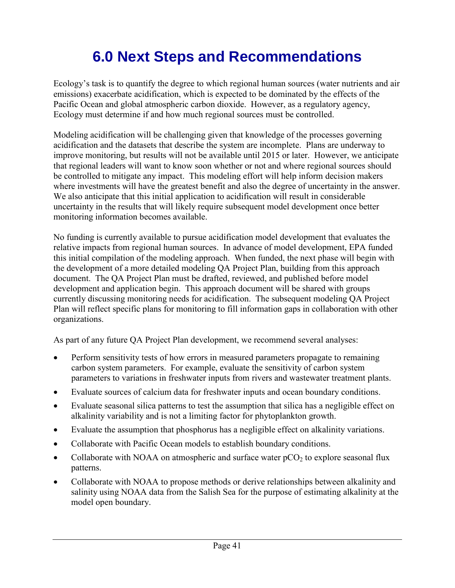## **6.0 Next Steps and Recommendations**

<span id="page-42-0"></span>Ecology's task is to quantify the degree to which regional human sources (water nutrients and air emissions) exacerbate acidification, which is expected to be dominated by the effects of the Pacific Ocean and global atmospheric carbon dioxide. However, as a regulatory agency, Ecology must determine if and how much regional sources must be controlled.

Modeling acidification will be challenging given that knowledge of the processes governing acidification and the datasets that describe the system are incomplete. Plans are underway to improve monitoring, but results will not be available until 2015 or later. However, we anticipate that regional leaders will want to know soon whether or not and where regional sources should be controlled to mitigate any impact. This modeling effort will help inform decision makers where investments will have the greatest benefit and also the degree of uncertainty in the answer. We also anticipate that this initial application to acidification will result in considerable uncertainty in the results that will likely require subsequent model development once better monitoring information becomes available.

No funding is currently available to pursue acidification model development that evaluates the relative impacts from regional human sources. In advance of model development, EPA funded this initial compilation of the modeling approach. When funded, the next phase will begin with the development of a more detailed modeling QA Project Plan, building from this approach document. The QA Project Plan must be drafted, reviewed, and published before model development and application begin. This approach document will be shared with groups currently discussing monitoring needs for acidification. The subsequent modeling QA Project Plan will reflect specific plans for monitoring to fill information gaps in collaboration with other organizations.

As part of any future QA Project Plan development, we recommend several analyses:

- Perform sensitivity tests of how errors in measured parameters propagate to remaining carbon system parameters. For example, evaluate the sensitivity of carbon system parameters to variations in freshwater inputs from rivers and wastewater treatment plants.
- Evaluate sources of calcium data for freshwater inputs and ocean boundary conditions.
- Evaluate seasonal silica patterns to test the assumption that silica has a negligible effect on alkalinity variability and is not a limiting factor for phytoplankton growth.
- Evaluate the assumption that phosphorus has a negligible effect on alkalinity variations.
- Collaborate with Pacific Ocean models to establish boundary conditions.
- Collaborate with NOAA on atmospheric and surface water  $pCO<sub>2</sub>$  to explore seasonal flux patterns.
- Collaborate with NOAA to propose methods or derive relationships between alkalinity and salinity using NOAA data from the Salish Sea for the purpose of estimating alkalinity at the model open boundary.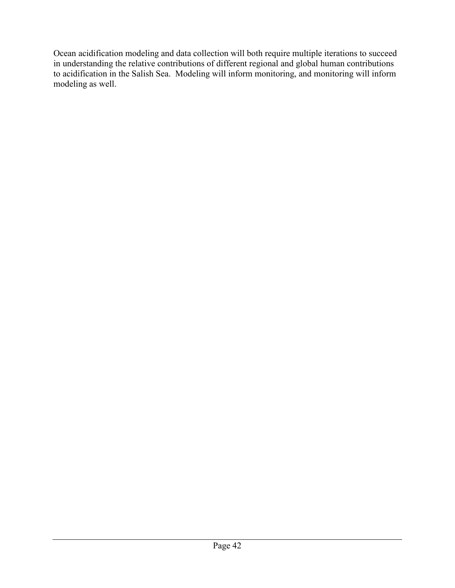Ocean acidification modeling and data collection will both require multiple iterations to succeed in understanding the relative contributions of different regional and global human contributions to acidification in the Salish Sea. Modeling will inform monitoring, and monitoring will inform modeling as well.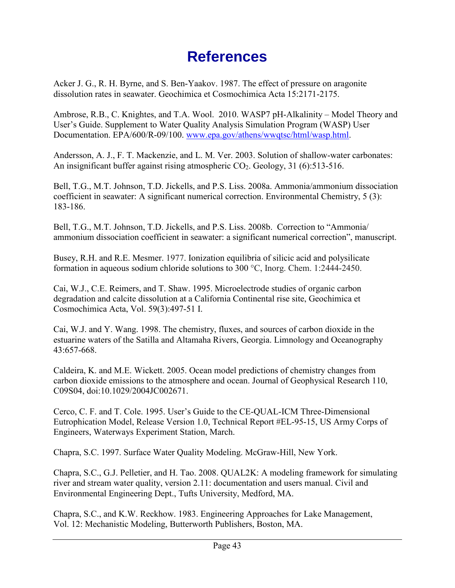## **References**

<span id="page-44-0"></span>Acker J. G., R. H. Byrne, and S. Ben-Yaakov. 1987. The effect of pressure on aragonite dissolution rates in seawater. Geochimica et Cosmochimica Acta 15:2171-2175.

Ambrose, R.B., C. Knightes, and T.A. Wool. 2010. WASP7 pH-Alkalinity – Model Theory and User's Guide. Supplement to Water Quality Analysis Simulation Program (WASP) User Documentation. EPA/600/R-09/100. [www.epa.gov/athens/wwqtsc/html/wasp.html.](http://www.epa.gov/athens/wwqtsc/html/wasp.html)

Andersson, A. J., F. T. Mackenzie, and L. M. Ver. 2003. Solution of shallow-water carbonates: An insignificant buffer against rising atmospheric  $CO<sub>2</sub>$ . Geology, 31 (6):513-516.

Bell, T.G., M.T. Johnson, T.D. Jickells, and P.S. Liss. 2008a. Ammonia/ammonium dissociation coefficient in seawater: A significant numerical correction. Environmental Chemistry, 5 (3): 183-186.

Bell, T.G., M.T. Johnson, T.D. Jickells, and P.S. Liss. 2008b. Correction to "Ammonia/ ammonium dissociation coefficient in seawater: a significant numerical correction", manuscript.

Busey, R.H. and R.E. Mesmer. 1977. Ionization equilibria of silicic acid and polysilicate formation in aqueous sodium chloride solutions to 300 °C, Inorg. Chem. 1:2444-2450.

Cai, W.J., C.E. Reimers, and T. Shaw. 1995. Microelectrode studies of organic carbon degradation and calcite dissolution at a California Continental rise site, Geochimica et Cosmochimica Acta, Vol. 59(3):497-51 I.

Cai, W.J. and Y. Wang. 1998. The chemistry, fluxes, and sources of carbon dioxide in the estuarine waters of the Satilla and Altamaha Rivers, Georgia. Limnology and Oceanography 43:657-668.

Caldeira, K. and M.E. Wickett. 2005. Ocean model predictions of chemistry changes from carbon dioxide emissions to the atmosphere and ocean. Journal of Geophysical Research 110, C09S04, doi:10.1029/2004JC002671.

Cerco, C. F. and T. Cole. 1995. User's Guide to the CE-QUAL-ICM Three-Dimensional Eutrophication Model, Release Version 1.0, Technical Report #EL-95-15, US Army Corps of Engineers, Waterways Experiment Station, March.

Chapra, S.C. 1997. Surface Water Quality Modeling. McGraw-Hill, New York.

Chapra, S.C., G.J. Pelletier, and H. Tao. 2008. QUAL2K: A modeling framework for simulating river and stream water quality, version 2.11: documentation and users manual. Civil and Environmental Engineering Dept., Tufts University, Medford, MA.

Chapra, S.C., and K.W. Reckhow. 1983. Engineering Approaches for Lake Management, Vol. 12: Mechanistic Modeling, Butterworth Publishers, Boston, MA.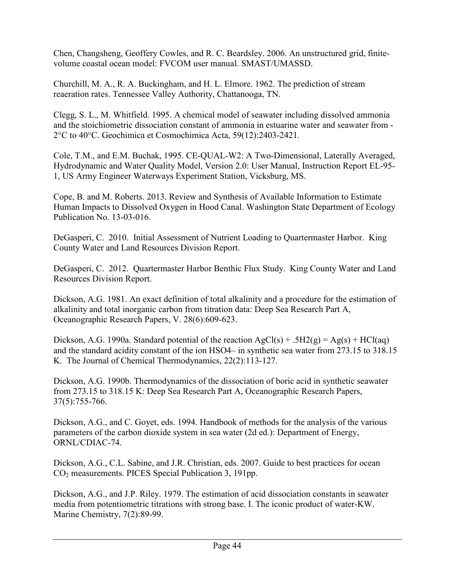Chen, Changsheng, Geoffery Cowles, and R. C. Beardsley. 2006. An unstructured grid, finitevolume coastal ocean model: FVCOM user manual. SMAST/UMASSD.

Churchill, M. A., R. A. Buckingham, and H. L. Elmore. 1962. The prediction of stream reaeration rates. Tennessee Valley Authority, Chattanooga, TN.

Clegg, S. L., M. Whitfield. 1995. A chemical model of seawater including dissolved ammonia and the stoichiometric dissociation constant of ammonia in estuarine water and seawater from - 2°C to 40°C. Geochimica et Cosmochimica Acta, 59(12):2403-2421.

Cole, T.M., and E.M. Buchak, 1995. CE-QUAL-W2: A Two-Dimensional, Laterally Averaged, Hydrodynamic and Water Quality Model, Version 2.0: User Manual, Instruction Report EL-95- 1, US Army Engineer Waterways Experiment Station, Vicksburg, MS.

Cope, B. and M. Roberts. 2013. Review and Synthesis of Available Information to Estimate Human Impacts to Dissolved Oxygen in Hood Canal. Washington State Department of Ecology Publication No. 13-03-016.

DeGasperi, C. 2010. Initial Assessment of Nutrient Loading to Quartermaster Harbor. King County Water and Land Resources Division Report.

DeGasperi, C. 2012. Quartermaster Harbor Benthic Flux Study. King County Water and Land Resources Division Report.

Dickson, A.G. 1981. An exact definition of total alkalinity and a procedure for the estimation of alkalinity and total inorganic carbon from titration data: Deep Sea Research Part A, Oceanographic Research Papers, V. 28(6):609-623.

Dickson, A.G. 1990a. Standard potential of the reaction  $AgCl(s) + .5H2(g) = Ag(s) + HCl(aq)$ and the standard acidity constant of the ion HSO4– in synthetic sea water from 273.15 to 318.15 K. The Journal of Chemical Thermodynamics, 22(2):113-127.

Dickson, A.G. 1990b. Thermodynamics of the dissociation of boric acid in synthetic seawater from 273.15 to 318.15 K: Deep Sea Research Part A, Oceanographic Research Papers, 37(5):755-766.

Dickson, A.G., and C. Goyet, eds. 1994. Handbook of methods for the analysis of the various parameters of the carbon dioxide system in sea water (2d ed.): Department of Energy, ORNL/CDIAC-74.

Dickson, A.G., C.L. Sabine, and J.R. Christian, eds. 2007. Guide to best practices for ocean CO2 measurements. PICES Special Publication 3, 191pp.

Dickson, A.G., and J.P. Riley. 1979. The estimation of acid dissociation constants in seawater media from potentiometric titrations with strong base. I. The iconic product of water-KW. Marine Chemistry, 7(2):89-99.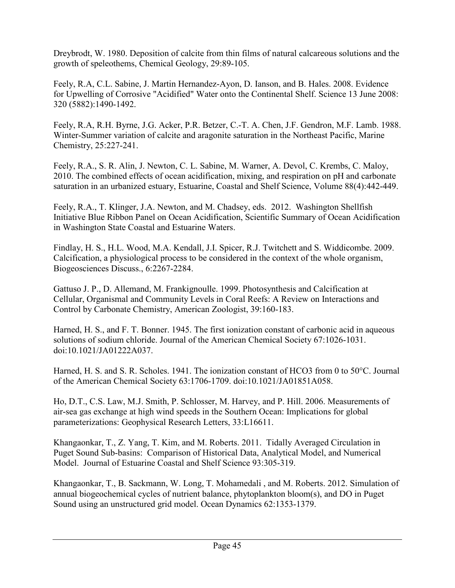Dreybrodt, W. 1980. Deposition of calcite from thin films of natural calcareous solutions and the growth of speleothems, Chemical Geology, 29:89-105.

Feely, R.A, C.L. Sabine, J. Martin Hernandez-Ayon, D. Ianson, and B. Hales. 2008. Evidence for Upwelling of Corrosive "Acidified" Water onto the Continental Shelf. Science 13 June 2008: 320 (5882):1490-1492.

Feely, R.A, R.H. Byrne, J.G. Acker, P.R. Betzer, C.-T. A. Chen, J.F. Gendron, M.F. Lamb. 1988. Winter-Summer variation of calcite and aragonite saturation in the Northeast Pacific, Marine Chemistry, 25:227-241.

Feely, R.A., S. R. Alin, J. Newton, C. L. Sabine, M. Warner, A. Devol, C. Krembs, C. Maloy, 2010. The combined effects of ocean acidification, mixing, and respiration on pH and carbonate saturation in an urbanized estuary, Estuarine, Coastal and Shelf Science, Volume 88(4):442-449.

Feely, R.A., T. Klinger, J.A. Newton, and M. Chadsey, eds. 2012. Washington Shellfish Initiative Blue Ribbon Panel on Ocean Acidification, Scientific Summary of Ocean Acidification in Washington State Coastal and Estuarine Waters.

Findlay, H. S., H.L. Wood, M.A. Kendall, J.I. Spicer, R.J. Twitchett and S. Widdicombe. 2009. Calcification, a physiological process to be considered in the context of the whole organism, Biogeosciences Discuss., 6:2267-2284.

Gattuso J. P., D. Allemand, M. Frankignoulle. 1999. Photosynthesis and Calcification at Cellular, Organismal and Community Levels in Coral Reefs: A Review on Interactions and Control by Carbonate Chemistry, American Zoologist, 39:160-183.

Harned, H. S., and F. T. Bonner. 1945. The first ionization constant of carbonic acid in aqueous solutions of sodium chloride. Journal of the American Chemical Society 67:1026-1031. doi:10.1021/JA01222A037.

Harned, H. S. and S. R. Scholes. 1941. The ionization constant of HCO3 from 0 to 50°C. Journal of the American Chemical Society 63:1706-1709. doi:10.1021/JA01851A058.

Ho, D.T., C.S. Law, M.J. Smith, P. Schlosser, M. Harvey, and P. Hill. 2006. Measurements of air-sea gas exchange at high wind speeds in the Southern Ocean: Implications for global parameterizations: Geophysical Research Letters, 33:L16611.

Khangaonkar, T., Z. Yang, T. Kim, and M. Roberts. 2011. Tidally Averaged Circulation in Puget Sound Sub-basins: Comparison of Historical Data, Analytical Model, and Numerical Model. Journal of Estuarine Coastal and Shelf Science 93:305-319.

Khangaonkar, T., B. Sackmann, W. Long, T. Mohamedali , and M. Roberts. 2012. Simulation of annual biogeochemical cycles of nutrient balance, phytoplankton bloom(s), and DO in Puget Sound using an unstructured grid model. Ocean Dynamics 62:1353-1379.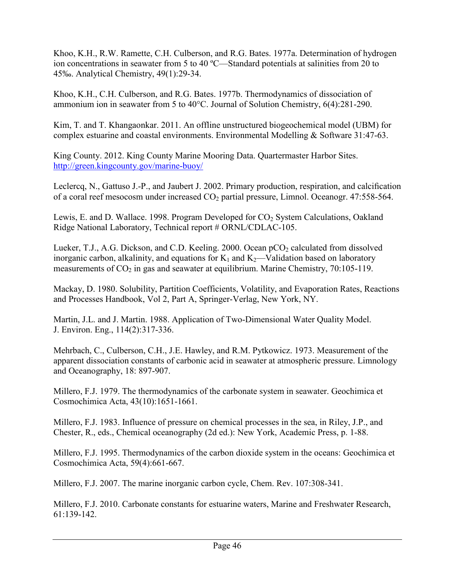Khoo, K.H., R.W. Ramette, C.H. Culberson, and R.G. Bates. 1977a. Determination of hydrogen ion concentrations in seawater from 5 to 40 ºC—Standard potentials at salinities from 20 to 45‰. Analytical Chemistry, 49(1):29-34.

Khoo, K.H., C.H. Culberson, and R.G. Bates. 1977b. Thermodynamics of dissociation of ammonium ion in seawater from 5 to 40°C. Journal of Solution Chemistry, 6(4):281-290.

Kim, T. and T. Khangaonkar. 2011. An offline unstructured biogeochemical model (UBM) for complex estuarine and coastal environments. Environmental Modelling & Software 31:47-63.

King County. 2012. King County Marine Mooring Data. Quartermaster Harbor Sites. <http://green.kingcounty.gov/marine-buoy/>

Leclercq, N., Gattuso J.-P., and Jaubert J. 2002. Primary production, respiration, and calcification of a coral reef mesocosm under increased  $CO<sub>2</sub>$  partial pressure, Limnol. Oceanogr. 47:558-564.

Lewis, E. and D. Wallace. 1998. Program Developed for  $CO<sub>2</sub>$  System Calculations, Oakland Ridge National Laboratory, Technical report # ORNL/CDLAC-105.

Lueker, T.J., A.G. Dickson, and C.D. Keeling.  $2000$ . Ocean  $pCO<sub>2</sub>$  calculated from dissolved inorganic carbon, alkalinity, and equations for  $K_1$  and  $K_2$ —Validation based on laboratory measurements of  $CO<sub>2</sub>$  in gas and seawater at equilibrium. Marine Chemistry, 70:105-119.

Mackay, D. 1980. Solubility, Partition Coefficients, Volatility, and Evaporation Rates, Reactions and Processes Handbook, Vol 2, Part A, Springer-Verlag, New York, NY.

Martin, J.L. and J. Martin. 1988. Application of Two-Dimensional Water Quality Model. J. Environ. Eng., 114(2):317-336.

Mehrbach, C., Culberson, C.H., J.E. Hawley, and R.M. Pytkowicz. 1973. Measurement of the apparent dissociation constants of carbonic acid in seawater at atmospheric pressure. Limnology and Oceanography, 18: 897-907.

Millero, F.J. 1979. The thermodynamics of the carbonate system in seawater. Geochimica et Cosmochimica Acta, 43(10):1651-1661.

Millero, F.J. 1983. Influence of pressure on chemical processes in the sea, in Riley, J.P., and Chester, R., eds., Chemical oceanography (2d ed.): New York, Academic Press, p. 1-88.

Millero, F.J. 1995. Thermodynamics of the carbon dioxide system in the oceans: Geochimica et Cosmochimica Acta, 59(4):661-667.

Millero, F.J. 2007. The marine inorganic carbon cycle, Chem. Rev. 107:308-341.

Millero, F.J. 2010. Carbonate constants for estuarine waters, Marine and Freshwater Research, 61:139-142.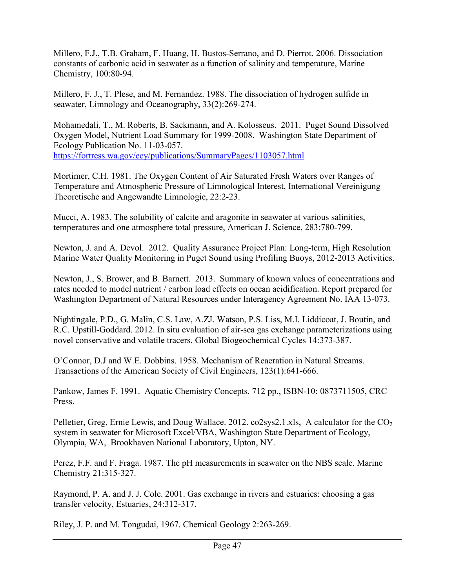Millero, F.J., T.B. Graham, F. Huang, H. Bustos-Serrano, and D. Pierrot. 2006. Dissociation constants of carbonic acid in seawater as a function of salinity and temperature, Marine Chemistry, 100:80-94.

Millero, F. J., T. Plese, and M. Fernandez. 1988. The dissociation of hydrogen sulfide in seawater, Limnology and Oceanography, 33(2):269-274.

Mohamedali, T., M. Roberts, B. Sackmann, and A. Kolosseus. 2011. Puget Sound Dissolved Oxygen Model, Nutrient Load Summary for 1999-2008. Washington State Department of Ecology Publication No. 11-03-057. <https://fortress.wa.gov/ecy/publications/SummaryPages/1103057.html>

Mortimer, C.H. 1981. The Oxygen Content of Air Saturated Fresh Waters over Ranges of Temperature and Atmospheric Pressure of Limnological Interest, International Vereinigung Theoretische and Angewandte Limnologie, 22:2-23.

Mucci, A. 1983. The solubility of calcite and aragonite in seawater at various salinities, temperatures and one atmosphere total pressure, American J. Science, 283:780-799.

Newton, J. and A. Devol. 2012. Quality Assurance Project Plan: Long-term, High Resolution Marine Water Quality Monitoring in Puget Sound using Profiling Buoys, 2012-2013 Activities.

Newton, J., S. Brower, and B. Barnett. 2013. Summary of known values of concentrations and rates needed to model nutrient / carbon load effects on ocean acidification. Report prepared for Washington Department of Natural Resources under Interagency Agreement No. IAA 13-073.

Nightingale, P.D., G. Malin, C.S. Law, A.ZJ. Watson, P.S. Liss, M.I. Liddicoat, J. Boutin, and R.C. Upstill-Goddard. 2012. In situ evaluation of air-sea gas exchange parameterizations using novel conservative and volatile tracers. Global Biogeochemical Cycles 14:373-387.

O'Connor, D.J and W.E. Dobbins. 1958. Mechanism of Reaeration in Natural Streams. Transactions of the American Society of Civil Engineers, 123(1):641-666.

Pankow, James F. 1991. Aquatic Chemistry Concepts. 712 pp., ISBN-10: 0873711505, CRC Press.

Pelletier, Greg, Ernie Lewis, and Doug Wallace. 2012. co2sys2.1.xls, A calculator for the  $CO<sub>2</sub>$ system in seawater for Microsoft Excel/VBA, Washington State Department of Ecology, Olympia, WA, Brookhaven National Laboratory, Upton, NY.

Perez, F.F. and F. Fraga. 1987. The pH measurements in seawater on the NBS scale. Marine Chemistry 21:315-327.

Raymond, P. A. and J. J. Cole. 2001. Gas exchange in rivers and estuaries: choosing a gas transfer velocity, Estuaries, 24:312-317.

Riley, J. P. and M. Tongudai, 1967. Chemical Geology 2:263-269.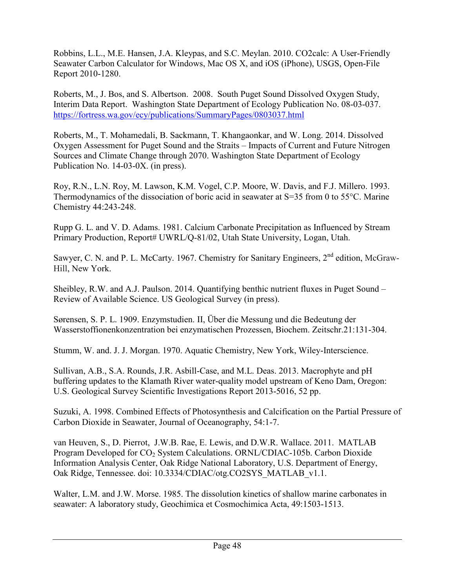Robbins, L.L., M.E. Hansen, J.A. Kleypas, and S.C. Meylan. 2010. CO2calc: A User-Friendly Seawater Carbon Calculator for Windows, Mac OS X, and iOS (iPhone), USGS, Open-File Report 2010-1280.

Roberts, M., J. Bos, and S. Albertson. 2008. South Puget Sound Dissolved Oxygen Study, Interim Data Report. Washington State Department of Ecology Publication No. 08-03-037. <https://fortress.wa.gov/ecy/publications/SummaryPages/0803037.html>

Roberts, M., T. Mohamedali, B. Sackmann, T. Khangaonkar, and W. Long. 2014. Dissolved Oxygen Assessment for Puget Sound and the Straits – Impacts of Current and Future Nitrogen Sources and Climate Change through 2070. Washington State Department of Ecology Publication No. 14-03-0X. (in press).

Roy, R.N., L.N. Roy, M. Lawson, K.M. Vogel, C.P. Moore, W. Davis, and F.J. Millero. 1993. Thermodynamics of the dissociation of boric acid in seawater at S=35 from 0 to 55°C. Marine Chemistry 44:243-248.

Rupp G. L. and V. D. Adams. 1981. Calcium Carbonate Precipitation as Influenced by Stream Primary Production, Report# UWRL/Q-81/02, Utah State University, Logan, Utah.

Sawyer, C. N. and P. L. McCarty. 1967. Chemistry for Sanitary Engineers, 2<sup>nd</sup> edition, McGraw-Hill, New York.

Sheibley, R.W. and A.J. Paulson. 2014. Quantifying benthic nutrient fluxes in Puget Sound – Review of Available Science. US Geological Survey (in press).

Sørensen, S. P. L. 1909. Enzymstudien. II, Über die Messung und die Bedeutung der Wasserstoffionenkonzentration bei enzymatischen Prozessen, Biochem. Zeitschr.21:131-304.

Stumm, W. and. J. J. Morgan. 1970. Aquatic Chemistry, New York, Wiley-Interscience.

Sullivan, A.B., S.A. Rounds, J.R. Asbill-Case, and M.L. Deas. 2013. Macrophyte and pH buffering updates to the Klamath River water-quality model upstream of Keno Dam, Oregon: U.S. Geological Survey Scientific Investigations Report 2013-5016, 52 pp.

Suzuki, A. 1998. Combined Effects of Photosynthesis and Calcification on the Partial Pressure of Carbon Dioxide in Seawater, Journal of Oceanography, 54:1-7.

van Heuven, S., D. Pierrot, J.W.B. Rae, E. Lewis, and D.W.R. Wallace. 2011. MATLAB Program Developed for CO<sub>2</sub> System Calculations. ORNL/CDIAC-105b. Carbon Dioxide Information Analysis Center, Oak Ridge National Laboratory, U.S. Department of Energy, Oak Ridge, Tennessee. doi: 10.3334/CDIAC/otg.CO2SYS\_MATLAB\_v1.1.

Walter, L.M. and J.W. Morse. 1985. The dissolution kinetics of shallow marine carbonates in seawater: A laboratory study, Geochimica et Cosmochimica Acta, 49:1503-1513.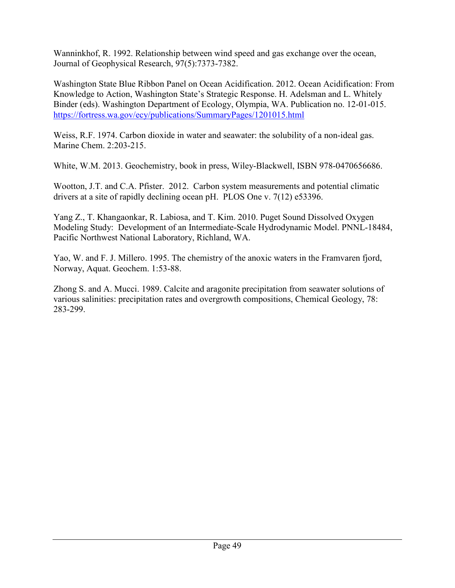Wanninkhof, R. 1992. Relationship between wind speed and gas exchange over the ocean, Journal of Geophysical Research, 97(5):7373-7382.

Washington State Blue Ribbon Panel on Ocean Acidification. 2012. Ocean Acidification: From Knowledge to Action, Washington State's Strategic Response. H. Adelsman and L. Whitely Binder (eds). Washington Department of Ecology, Olympia, WA. Publication no. 12-01-015. <https://fortress.wa.gov/ecy/publications/SummaryPages/1201015.html>

Weiss, R.F. 1974. Carbon dioxide in water and seawater: the solubility of a non-ideal gas. Marine Chem. 2:203-215.

White, W.M. 2013. Geochemistry, book in press, Wiley-Blackwell, ISBN 978-0470656686.

Wootton, J.T. and C.A. Pfister. 2012. Carbon system measurements and potential climatic drivers at a site of rapidly declining ocean pH. PLOS One v. 7(12) e53396.

Yang Z., T. Khangaonkar, R. Labiosa, and T. Kim. 2010. Puget Sound Dissolved Oxygen Modeling Study: Development of an Intermediate-Scale Hydrodynamic Model. PNNL-18484, Pacific Northwest National Laboratory, Richland, WA.

Yao, W. and F. J. Millero. 1995. The chemistry of the anoxic waters in the Framvaren fjord, Norway, Aquat. Geochem. 1:53-88.

Zhong S. and A. Mucci. 1989. Calcite and aragonite precipitation from seawater solutions of various salinities: precipitation rates and overgrowth compositions, Chemical Geology, 78: 283-299.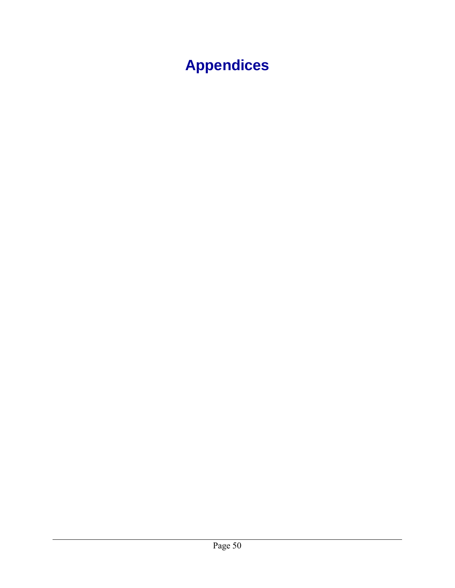# <span id="page-51-0"></span>**Appendices**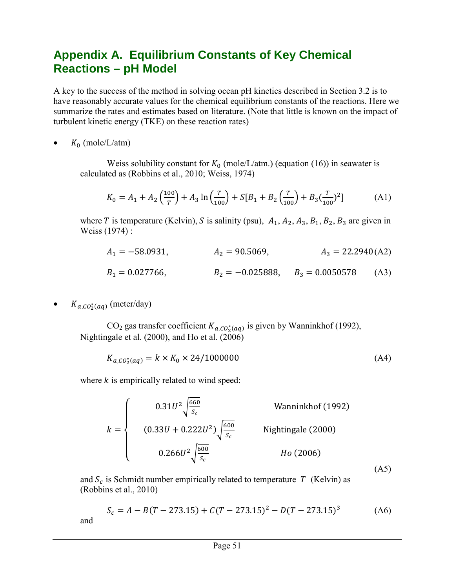#### <span id="page-52-0"></span>**Appendix A. Equilibrium Constants of Key Chemical Reactions – pH Model**

A key to the success of the method in solving ocean pH kinetics described in Section 3.2 is to have reasonably accurate values for the chemical equilibrium constants of the reactions. Here we summarize the rates and estimates based on literature. (Note that little is known on the impact of turbulent kinetic energy (TKE) on these reaction rates)

 $K_0$  (mole/L/atm)

Weiss solubility constant for  $K_0$  (mole/L/atm.) (equation (16)) in seawater is calculated as (Robbins et al., 2010; Weiss, 1974)

$$
K_0 = A_1 + A_2 \left(\frac{100}{T}\right) + A_3 \ln \left(\frac{T}{100}\right) + S[B_1 + B_2 \left(\frac{T}{100}\right) + B_3 \left(\frac{T}{100}\right)^2]
$$
 (A1)

where T is temperature (Kelvin), S is salinity (psu),  $A_1$ ,  $A_2$ ,  $A_3$ ,  $B_1$ ,  $B_2$ ,  $B_3$  are given in Weiss (1974) :

$$
A_1 = -58.0931, \t A_2 = 90.5069, \t A_3 = 22.2940(A2)
$$
  
\n
$$
B_1 = 0.027766, \t B_2 = -0.025888, \t B_3 = 0.0050578 \t (A3)
$$

•  $K_{a, CO_2^*(aq)}$  (meter/day)

and

CO<sub>2</sub> gas transfer coefficient  $K_{a, CO_2^*(aq)}$  is given by Wanninkhof (1992), Nightingale et al. (2000), and Ho et al. (2006)

$$
K_{a,CO_2^*(aq)} = k \times K_0 \times 24/1000000 \tag{A4}
$$

where  $k$  is empirically related to wind speed:

$$
k = \begin{cases} 0.31U^{2} \sqrt{\frac{660}{s_{c}}} & \text{Wanninkhof (1992)}\\ (0.33U + 0.222U^{2}) \sqrt{\frac{600}{s_{c}}} & \text{Nightingale (2000)}\\ 0.266U^{2} \sqrt{\frac{600}{s_{c}}} & Ho (2006) \end{cases}
$$
(A5)

and  $S_c$  is Schmidt number empirically related to temperature T (Kelvin) as (Robbins et al., 2010)

$$
S_c = A - B(T - 273.15) + C(T - 273.15)^2 - D(T - 273.15)^3
$$
 (A6)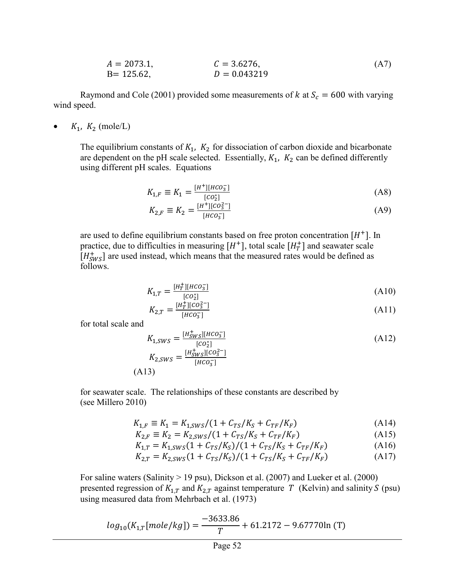$$
A = 2073.1, \t C = 3.6276, B = 125.62, \t D = 0.043219
$$
 (A7)

Raymond and Cole (2001) provided some measurements of  $k$  at  $S_c = 600$  with varying wind speed.

 $K_1$ ,  $K_2$  (mole/L)

The equilibrium constants of  $K_1$ ,  $K_2$  for dissociation of carbon dioxide and bicarbonate are dependent on the pH scale selected. Essentially,  $K_1$ ,  $K_2$  can be defined differently using different pH scales. Equations

$$
K_{1,F} \equiv K_1 = \frac{[H^+][HCO_3^-]}{[CO_2^*]} \tag{A8}
$$

$$
K_{2,F} \equiv K_2 = \frac{[H^+][CO_3^{2-}]}{[HCO_3^-]}
$$
(A9)

are used to define equilibrium constants based on free proton concentration  $[H^+]$ . In practice, due to difficulties in measuring  $[H^+]$ , total scale  $[H_T^+]$  and seawater scale  $[H_{SWS}^+]$  are used instead, which means that the measured rates would be defined as follows.

$$
K_{1,T} = \frac{[H_T^+][HCO_3^-]}{[CO_2^*]} \tag{A10}
$$

$$
K_{2,T} = \frac{[H_T^+][CO_3^{2-}]}{[HCO_3^-]}
$$
(A11)

for total scale and

$$
K_{1,SWS} = \frac{[H_{SWS}^+][HCO_3^-]}{[CO_2^*]} K_{2,SWS} = \frac{[H_{SWS}^+][CO_3^-]}{[HCO_3^-]}
$$
(A13)

for seawater scale. The relationships of these constants are described by (see Millero 2010)

$$
K_{1,F} \equiv K_1 = K_{1,SWS}/(1 + C_{TS}/K_S + C_{TF}/K_F)
$$
\n(A14)

$$
K_{2,F} \equiv K_2 = K_{2,SWS}/(1 + C_{TS}/K_S + C_{TF}/K_F)
$$
\n(A15)

$$
K_{1,T} = K_{1,SWS}(1 + C_{TS}/K_S)/(1 + C_{TS}/K_S + C_{TF}/K_F)
$$
\n(A16)

$$
K_{2,T} = K_{2,SWS}(1 + C_{TS}/K_S)/(1 + C_{TS}/K_S + C_{TF}/K_F)
$$
\n(A17)

For saline waters (Salinity > 19 psu), Dickson et al. (2007) and Lueker et al. (2000) presented regression of  $K_{1,T}$  and  $K_{2,T}$  against temperature T (Kelvin) and salinity S (psu) using measured data from Mehrbach et al. (1973)

$$
log_{10}(K_{1,T}[mole/kg]) = \frac{-3633.86}{T} + 61.2172 - 9.67770 \ln(T)
$$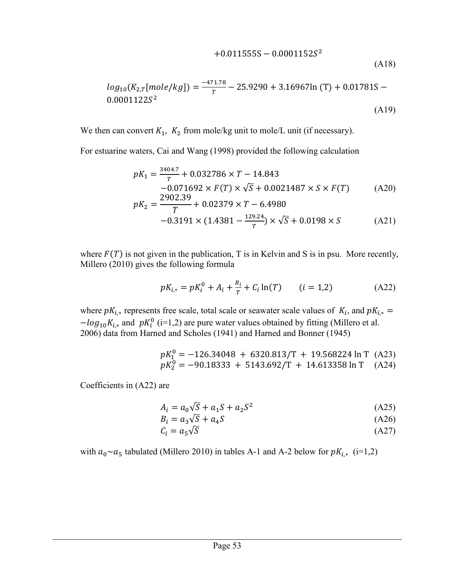$$
+0.011555S - 0.0001152S2
$$
\n(A18)  
\n
$$
log_{10}(K_{2,T}[mole/kg]) = \frac{-471.78}{T} - 25.9290 + 3.16967\ln(T) + 0.01781S - 0.0001122S2
$$

(A19)

We then can convert  $K_1$ ,  $K_2$  from mole/kg unit to mole/L unit (if necessary).

For estuarine waters, Cai and Wang (1998) provided the following calculation

$$
pK_1 = \frac{3404.7}{T} + 0.032786 \times T - 14.843
$$
  
-0.071692 \times F(T) \times \sqrt{S} + 0.0021487 \times S \times F(T) (A20)  

$$
pK = \frac{2902.39}{T} + 0.02379 \times T = 6.4980
$$

$$
pK_2 = \frac{2902.39}{T} + 0.02379 \times T - 6.4980
$$
  
-0.3191 \times (1.4381 -  $\frac{129.24}{T}$ ) \times  $\sqrt{S}$  + 0.0198 \times S (A21)

where  $F(T)$  is not given in the publication, T is in Kelvin and S is in psu. More recently, Millero (2010) gives the following formula

$$
pK_{i,*} = pK_i^0 + A_i + \frac{B_i}{T} + C_i \ln(T) \qquad (i = 1,2)
$$
 (A22)

where  $pK_{i,*}$  represents free scale, total scale or seawater scale values of  $K_i$ , and  $pK_{i,*}$  =  $-\log_{10} K_{i,*}$  and  $pK_i^0$  (i=1,2) are pure water values obtained by fitting (Millero et al. 2006) data from Harned and Scholes (1941) and Harned and Bonner (1945)

$$
pK_1^0 = -126.34048 + 6320.813/T + 19.568224 \ln T
$$
 (A23)  

$$
pK_2^0 = -90.18333 + 5143.692/T + 14.613358 \ln T
$$
 (A24)

Coefficients in (A22) are

$$
A_i = a_0 \sqrt{S} + a_1 S + a_2 S^2 \tag{A25}
$$

$$
B_i = a_3 \sqrt{S} + a_4 S \tag{A26}
$$

$$
C_i = a_5 \sqrt{S} \tag{A27}
$$

with  $a_0 \sim a_5$  tabulated (Millero 2010) in tables A-1 and A-2 below for  $pK_{i,*}$  (i=1,2)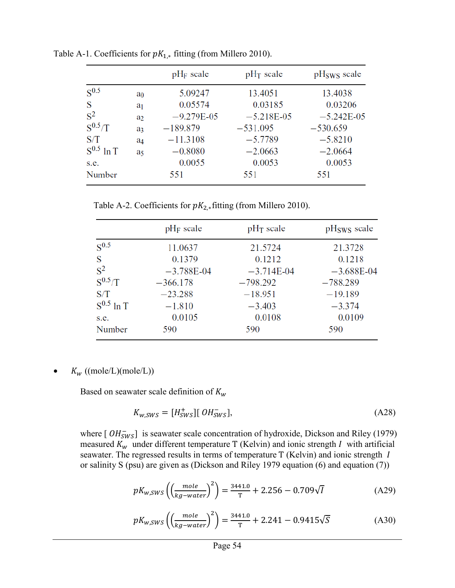|                |                | $pH_F$ scale | $pH_T$ scale | pH <sub>sws</sub> scale |
|----------------|----------------|--------------|--------------|-------------------------|
| $S^{0.5}$      | a <sub>0</sub> | 5.09247      | 13.4051      | 13.4038                 |
| S              | a <sub>1</sub> | 0.05574      | 0.03185      | 0.03206                 |
| $S^2$          | a <sub>2</sub> | $-9.279E-05$ | $-5.218E-05$ | $-5.242E-05$            |
| $S^{0.5}/T$    | aз             | $-189.879$   | $-531.095$   | $-530.659$              |
| S/T            | $a_4$          | $-11.3108$   | $-5.7789$    | $-5.8210$               |
| $S^{0.5}$ ln T | a <sub>5</sub> | $-0.8080$    | $-2.0663$    | $-2.0664$               |
| s.e.           |                | 0.0055       | 0.0053       | 0.0053                  |
| Number         |                | 551          | 551          | 551                     |

Table A-1. Coefficients for  $pK_{1,*}$  fitting (from Millero 2010).

Table A-2. Coefficients for  $pK_{2,*}$  fitting (from Millero 2010).

|                | $pH_F$ scale | $pH_T$ scale | pH <sub>SWS</sub> scale |
|----------------|--------------|--------------|-------------------------|
| $S^{0.5}$      | 11.0637      | 21.5724      | 21.3728                 |
| S              | 0.1379       | 0.1212       | 0.1218                  |
| $S^2$          | $-3.788E-04$ | $-3.714E-04$ | $-3.688E-04$            |
| $S^{0.5}/T$    | $-366.178$   | $-798.292$   | $-788.289$              |
| S/T            | $-23.288$    | $-18.951$    | $-19.189$               |
| $S^{0.5}$ ln T | $-1.810$     | $-3.403$     | $-3.374$                |
| s.e.           | 0.0105       | 0.0108       | 0.0109                  |
| Number         | 590          | 590          | 590                     |

•  $K_w$  ((mole/L)(mole/L))

Based on seawater scale definition of  $K_w$ 

$$
K_{w,SWS} = [H^+_{SWS}][OH^-_{SWS}],\tag{A28}
$$

where  $[OH_{SWS}]$  is seawater scale concentration of hydroxide, Dickson and Riley (1979) measured  $K_w$  under different temperature T (Kelvin) and ionic strength *I* with artificial seawater. The regressed results in terms of temperature T (Kelvin) and ionic strength I or salinity S (psu) are given as (Dickson and Riley 1979 equation (6) and equation (7))

$$
pK_{w,SWS}\left(\left(\frac{mole}{kg-water}\right)^2\right) = \frac{3441.0}{T} + 2.256 - 0.709\sqrt{I}
$$
 (A29)

$$
pK_{w,SWS}\left(\left(\frac{mole}{kg-water}\right)^2\right) = \frac{3441.0}{T} + 2.241 - 0.9415\sqrt{S}
$$
 (A30)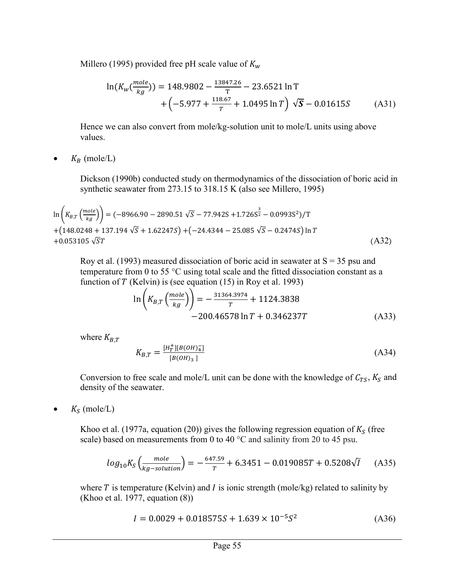Millero (1995) provided free pH scale value of  $K_w$ 

$$
\ln(K_w(\frac{mole}{kg})) = 148.9802 - \frac{13847.26}{T} - 23.6521 \ln T + \left(-5.977 + \frac{118.67}{T} + 1.0495 \ln T\right) \sqrt{S} - 0.01615S \tag{A31}
$$

Hence we can also convert from mole/kg-solution unit to mole/L units using above values.

•  $K_B$  (mole/L)

Dickson (1990b) conducted study on thermodynamics of the dissociation of boric acid in synthetic seawater from 273.15 to 318.15 K (also see Millero, 1995)

$$
\ln\left(K_{B,T}\left(\frac{mole}{kg}\right)\right) = (-8966.90 - 2890.51\sqrt{5} - 77.942S + 1.726S^{\frac{3}{2}} - 0.0993S^{2})/T
$$
  
+ (148.0248 + 137.194\sqrt{5} + 1.62247S) + (-24.4344 - 25.085\sqrt{5} - 0.2474S) ln T  
+ 0.053105\sqrt{5}T (A32)

Roy et al. (1993) measured dissociation of boric acid in seawater at  $S = 35$  psu and temperature from 0 to 55 °C using total scale and the fitted dissociation constant as a function of  $T$  (Kelvin) is (see equation (15) in Roy et al. 1993)

$$
\ln\left(K_{B,T}\left(\frac{mole}{kg}\right)\right) = -\frac{31364.3974}{T} + 1124.3838
$$
  
-200.46578 ln T + 0.346237T (A33)

where  $K_{B,T}$ 

$$
K_{B,T} = \frac{[H_T^+][B(OH)_4^-]}{[B(OH)_3^-]}
$$
(A34)

Conversion to free scale and mole/L unit can be done with the knowledge of  $C_{TS}$ ,  $K_S$  and density of the seawater.

 $K_s$  (mole/L)

Khoo et al. (1977a, equation (20)) gives the following regression equation of  $K_s$  (free scale) based on measurements from 0 to 40  $^{\circ}$ C and salinity from 20 to 45 psu.

$$
log_{10} K_S \left( \frac{mole}{kg-solution} \right) = -\frac{647.59}{T} + 6.3451 - 0.019085T + 0.5208\sqrt{I} \tag{A35}
$$

where  $T$  is temperature (Kelvin) and  $I$  is ionic strength (mole/kg) related to salinity by (Khoo et al. 1977, equation (8))

$$
I = 0.0029 + 0.018575S + 1.639 \times 10^{-5} S^2 \tag{A36}
$$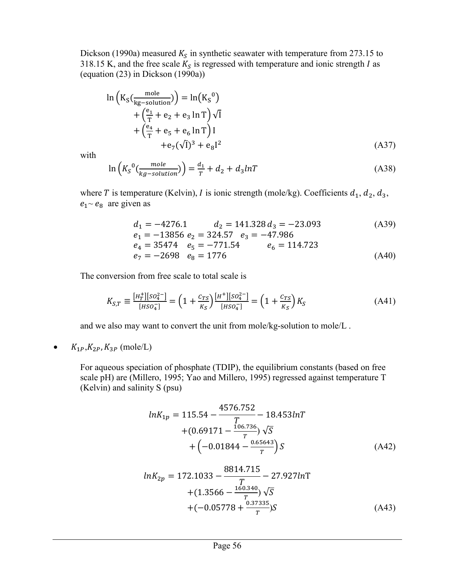Dickson (1990a) measured  $K_s$  in synthetic seawater with temperature from 273.15 to 318.15 K, and the free scale  $K_s$  is regressed with temperature and ionic strength *I* as (equation (23) in Dickson (1990a))

$$
\ln\left(K_S\left(\frac{\text{mole}}{\text{kg-solution}}\right)\right) = \ln(K_S^0)
$$
  
+ 
$$
\left(\frac{e_1}{T} + e_2 + e_3 \ln T\right) \sqrt{I}
$$
  
+ 
$$
\left(\frac{e_4}{T} + e_5 + e_6 \ln T\right) I
$$
  
+ 
$$
e_7(\sqrt{I})^3 + e_8 I^2
$$
 (A37)

with

$$
\ln\left(K_S^0\left(\frac{mole}{kg-solution}\right)\right) = \frac{d_1}{T} + d_2 + d_3lnT\tag{A38}
$$

where T is temperature (Kelvin), I is ionic strength (mole/kg). Coefficients  $d_1, d_2, d_3$ ,  $e_1$ ~  $e_8$  are given as

$$
d_1 = -4276.1 \t d_2 = 141.328 d_3 = -23.093 \t (A39)
$$
  

$$
d_2 = 12956 \t a_1 = 224.57 \t a_2 = -47.996
$$

$$
e_1 = -13856 e_2 = 324.57 e_3 = -47.986
$$
  
\n
$$
e_4 = 35474 e_5 = -771.54 e_6 = 114.723
$$
  
\n
$$
e_7 = -2698 e_8 = 1776
$$
 (A40)

The conversion from free scale to total scale is

$$
K_{S,T} \equiv \frac{[H_T^+][SO_4^{2-}]}{[HSO_4^-]} = \left(1 + \frac{c_{TS}}{K_S}\right) \frac{[H^+][SO_4^{2-}]}{[HSO_4^-]} = \left(1 + \frac{c_{TS}}{K_S}\right) K_S
$$
 (A41)

and we also may want to convert the unit from mole/kg-solution to mole/L .

•  $K_{1P}, K_{2P}, K_{3P} \text{ (mole/L)}$ 

For aqueous speciation of phosphate (TDIP), the equilibrium constants (based on free scale pH) are (Millero, 1995; Yao and Millero, 1995) regressed against temperature T (Kelvin) and salinity S (psu)

$$
lnK_{1p} = 115.54 - \frac{4576.752}{T} - 18.453lnT
$$
  
+  $(0.69171 - \frac{106.736}{T})\sqrt{S}$   
+  $\left(-0.01844 - \frac{0.65643}{T}\right)S$  (A42)

$$
lnK_{2p} = 172.1033 - \frac{8814.715}{T} - 27.927lnT
$$
  
 
$$
+ (1.3566 - \frac{160.340}{T}) \sqrt{5}
$$
  
 
$$
+ (-0.05778 + \frac{0.37335}{T})5
$$
 (A43)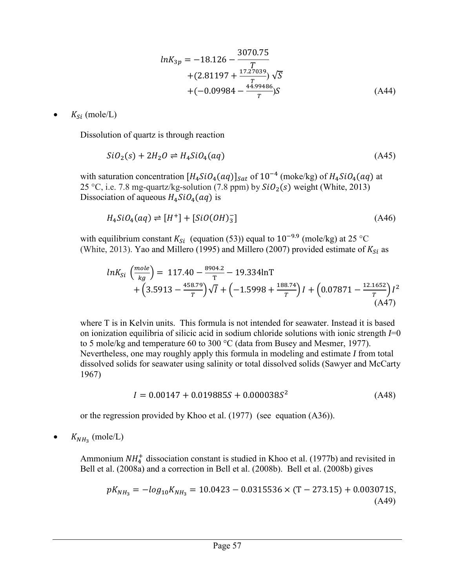$$
ln K_{3p} = -18.126 - \frac{3070.75}{T}
$$
  
+  $(2.81197 + \frac{17.27039}{T}) \sqrt{S}$   
+  $(-0.09984 - \frac{44.99486}{T})S$  (A44)

 $K_{Si}$  (mole/L)

Dissolution of quartz is through reaction

$$
SiO_2(s) + 2H_2O \rightleftharpoons H_4SiO_4(aq)
$$
\n(A45)

with saturation concentration  $[H_4SiO_4(aq)]_{Sat}$  of  $10^{-4}$  (moke/kg) of  $H_4SiO_4(aq)$  at 25 °C, i.e. 7.8 mg-quartz/kg-solution (7.8 ppm) by  $SiO<sub>2</sub>(s)$  weight (White, 2013) Dissociation of aqueous  $H_4SiO_4(aq)$  is

$$
H_4SiO_4(aq) \rightleftharpoons [H^+] + [SiO(OH)_3^-]
$$
\n(A46)

with equilibrium constant  $K_{Si}$  (equation (53)) equal to 10<sup>-9.9</sup> (mole/kg) at 25 °C (White, 2013). Yao and Millero (1995) and Millero (2007) provided estimate of  $K_{Si}$  as

$$
ln K_{Si} \left(\frac{mole}{kg}\right) = 117.40 - \frac{8904.2}{T} - 19.334 \text{ln}T + \left(3.5913 - \frac{458.79}{T}\right) \sqrt{I} + \left(-1.5998 + \frac{188.74}{T}\right) I + \left(0.07871 - \frac{12.1652}{T}\right) I^{2}
$$
\n(A47)

where T is in Kelvin units. This formula is not intended for seawater. Instead it is based on ionization equilibria of silicic acid in sodium chloride solutions with ionic strength *I*=0 to 5 mole/kg and temperature 60 to 300 °C (data from Busey and Mesmer, 1977). Nevertheless, one may roughly apply this formula in modeling and estimate *I* from total dissolved solids for seawater using salinity or total dissolved solids (Sawyer and McCarty 1967)

$$
I = 0.00147 + 0.019885S + 0.000038S^2
$$
 (A48)

or the regression provided by Khoo et al. (1977) (see equation (A36)).

 $K_{NH_3}$  (mole/L)

Ammonium  $NH_4^+$  dissociation constant is studied in Khoo et al. (1977b) and revisited in Bell et al. (2008a) and a correction in Bell et al. (2008b). Bell et al. (2008b) gives

$$
pK_{NH_3} = -\log_{10} K_{NH_3} = 10.0423 - 0.0315536 \times (T - 273.15) + 0.003071S,
$$
\n(A49)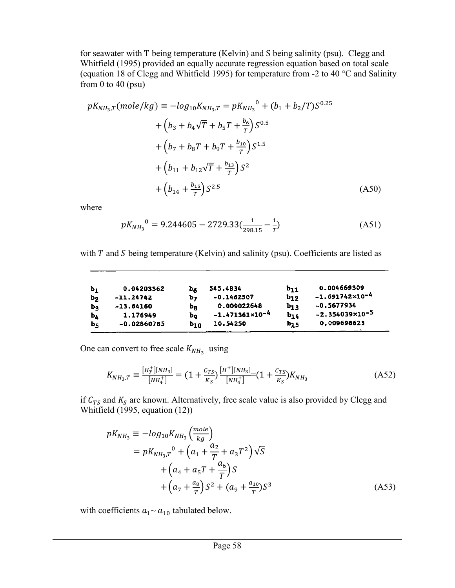for seawater with T being temperature (Kelvin) and S being salinity (psu). Clegg and Whitfield (1995) provided an equally accurate regression equation based on total scale (equation 18 of Clegg and Whitfield 1995) for temperature from -2 to 40 °C and Salinity from 0 to 40 (psu)

$$
pK_{NH_3,T}(mole/kg) \equiv -\log_{10} K_{NH_3,T} = pK_{NH_3}{}^0 + (b_1 + b_2/T)S^{0.25}
$$

$$
+ (b_3 + b_4\sqrt{T} + b_5T + \frac{b_6}{T})S^{0.5}
$$

$$
+ (b_7 + b_8T + b_9T + \frac{b_{10}}{T})S^{1.5}
$$

$$
+ (b_{11} + b_{12}\sqrt{T} + \frac{b_{13}}{T})S^2
$$

$$
+ (b_{14} + \frac{b_{15}}{T})S^{2.5}
$$
(A50)

where

$$
pK_{NH_3}^0 = 9.244605 - 2729.33(\frac{1}{298.15} - \frac{1}{T})
$$
 (A51)

with  $T$  and  $S$  being temperature (Kelvin) and salinity (psu). Coefficients are listed as

| $b_1$          | 0.04203362    | b <sub>6</sub> | 545.4834                 | $b_{11}$ | 0.004669309                |
|----------------|---------------|----------------|--------------------------|----------|----------------------------|
| b <sub>2</sub> | $-11.24742$   | b7             | $-0.1462507$             | $b_{12}$ | $-1.691742 \times 10^{-4}$ |
| bą             | $-13.64160$   | b <sub>8</sub> | 0.009022648              | $b_{13}$ | -0.5677934                 |
| <b>b</b>       | 1.176949      | b٥             | $-1.471361\times10^{-4}$ | $b_{14}$ | $-2.354039 \times 10^{-5}$ |
| Ъς             | $-0.02860785$ | $P_{10}$       | 10.54250                 | $b_{15}$ | 0.009698623                |

One can convert to free scale  $K_{NH_3}$  using

$$
K_{NH_3,T} \equiv \frac{[H_T^+][NH_3]}{[NH_4^+]} = (1 + \frac{c_{TS}}{K_S}) \frac{[H^+][NH_3]}{[NH_4^+]} = (1 + \frac{c_{TS}}{K_S}) K_{NH_3}
$$
(A52)

if  $C_{TS}$  and  $K_S$  are known. Alternatively, free scale value is also provided by Clegg and Whitfield (1995, equation (12))

$$
pK_{NH_3} \equiv -\log_{10} K_{NH_3} \left(\frac{mole}{kg}\right)
$$
  
=  $pK_{NH_3,T}{}^0 + \left(a_1 + \frac{a_2}{T} + a_3 T^2\right) \sqrt{S}$   
+  $\left(a_4 + a_5 T + \frac{a_6}{T}\right) S$   
+  $\left(a_7 + \frac{a_8}{T}\right) S^2 + (a_9 + \frac{a_{10}}{T}) S^3$  (A53)

with coefficients  $a_1 \sim a_{10}$  tabulated below.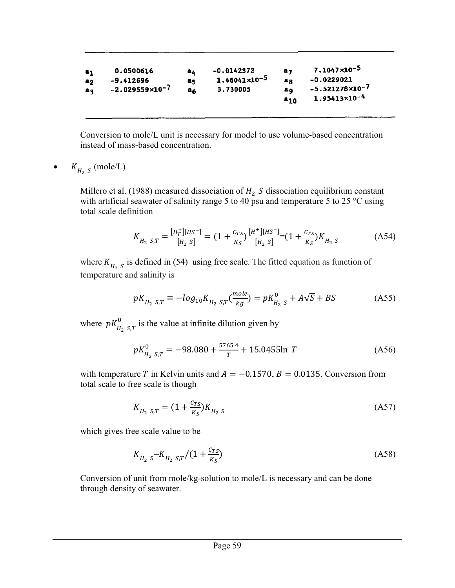7.1047×10-5 0.0500616  $-0.0142372$  $a<sub>7</sub>$  $a<sub>4</sub>$  $a<sub>1</sub>$  $1.46041 \times 10^{-5}$  $-0.0229021$  $a<sub>2</sub>$  $-9.412696$ **a**<sub>5</sub>  $a_B$  $-5.521278 \times 10^{-7}$  $-2.029559 \times 10^{-7}$ 3.730005 89 86  $a<sub>3</sub>$  $1.95413\times10^{-4}$  $810$ 

Conversion to mole/L unit is necessary for model to use volume-based concentration instead of mass-based concentration.

•  $K_{H_2, S}$  (mole/L)

Millero et al. (1988) measured dissociation of  $H_2$  S dissociation equilibrium constant with artificial seawater of salinity range 5 to 40 psu and temperature 5 to 25  $^{\circ}$ C using total scale definition

$$
K_{H_2 S,T} = \frac{[H_T^+][HS^-]}{[H_2 S]} = (1 + \frac{c_{TS}}{K_S}) \frac{[H^+][HS^-]}{[H_2 S]} = (1 + \frac{c_{TS}}{K_S}) K_{H_2 S}
$$
(A54)

where  $K_{H_2, S}$  is defined in (54) using free scale. The fitted equation as function of temperature and salinity is

$$
pK_{H_2 S,T} \equiv -\log_{10} K_{H_2 S,T} \left(\frac{mole}{kg}\right) = pK_{H_2 S}^0 + A\sqrt{S} + BS \tag{A55}
$$

where  $pK_{H_2 S,T}^0$  is the value at infinite dilution given by

$$
pK_{H_2\ S,T}^0 = -98.080 + \frac{5765.4}{T} + 15.0455\ln\ T
$$
 (A56)

with temperature T in Kelvin units and  $A = -0.1570$ ,  $B = 0.0135$ . Conversion from total scale to free scale is though

$$
K_{H_2 S,T} = (1 + \frac{c_{TS}}{K_S})K_{H_2 S}
$$
 (A57)

which gives free scale value to be

$$
K_{H_2}{}_{S} = K_{H_2}{}_{S,T} / (1 + \frac{c_{TS}}{\kappa_S})
$$
\n(A58)

Conversion of unit from mole/kg-solution to mole/L is necessary and can be done through density of seawater.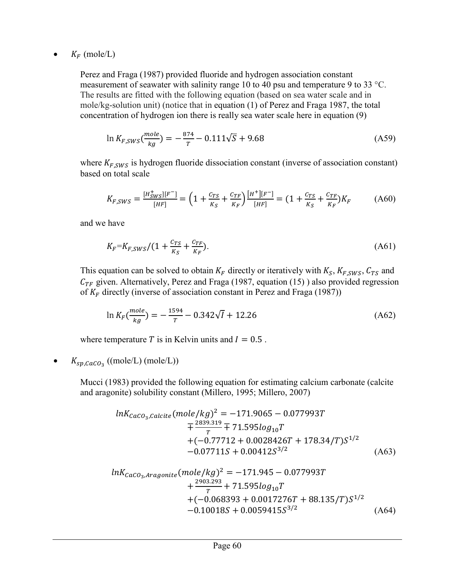•  $K_F$  (mole/L)

Perez and Fraga (1987) provided fluoride and hydrogen association constant measurement of seawater with salinity range 10 to 40 psu and temperature 9 to 33 °C. The results are fitted with the following equation (based on sea water scale and in mole/kg-solution unit) (notice that in equation (1) of Perez and Fraga 1987, the total concentration of hydrogen ion there is really sea water scale here in equation (9)

$$
\ln K_{F,SWS}(\frac{mole}{kg}) = -\frac{874}{T} - 0.111\sqrt{S} + 9.68\tag{A59}
$$

where  $K_{F,SWS}$  is hydrogen fluoride dissociation constant (inverse of association constant) based on total scale

$$
K_{F,SWS} = \frac{[H_{SWS}^+][F^-]}{[HF]} = \left(1 + \frac{c_{TS}}{K_S} + \frac{c_{TF}}{K_F}\right) \frac{[H^+][F^-]}{[HF]} = \left(1 + \frac{c_{TS}}{K_S} + \frac{c_{TF}}{K_F}\right) K_F \tag{A60}
$$

and we have

$$
K_F = K_{F,SWS} / (1 + \frac{c_{TS}}{K_S} + \frac{c_{TF}}{K_F}).
$$
\n(A61)

This equation can be solved to obtain  $K_F$  directly or iteratively with  $K_S$ ,  $K_{F,SWS}$ ,  $C_{TS}$  and  $C_{TF}$  given. Alternatively, Perez and Fraga (1987, equation (15)) also provided regression of  $K_F$  directly (inverse of association constant in Perez and Fraga (1987))

$$
\ln K_F(\frac{mole}{kg}) = -\frac{1594}{T} - 0.342\sqrt{I} + 12.26\tag{A62}
$$

where temperature T is in Kelvin units and  $I = 0.5$ .

 $K_{sp,CaCO_3}$  ((mole/L) (mole/L))

Mucci (1983) provided the following equation for estimating calcium carbonate (calcite and aragonite) solubility constant (Millero, 1995; Millero, 2007)

$$
lnK_{CaCO_3, Calculate}(mole/kg)^2 = -171.9065 - 0.077993T
$$
  
\n
$$
\overline{+} \frac{2839.319}{T} \overline{+} 71.595log_{10}T
$$
  
\n
$$
+ (-0.77712 + 0.0028426T + 178.34/T)S^{1/2}
$$
  
\n
$$
-0.07711S + 0.00412S^{3/2}
$$
\n(A63)

$$
lnK_{CaCO_3, Aragonite}(mole/kg)^2 = -171.945 - 0.077993T
$$
  
+ 
$$
\frac{^{2903.293}}{T} + 71.595log_{10}T
$$
  
+ 
$$
(-0.068393 + 0.0017276T + 88.135/T)S^{1/2}
$$
  
-0.10018S + 0.0059415S<sup>3/2</sup> (A64)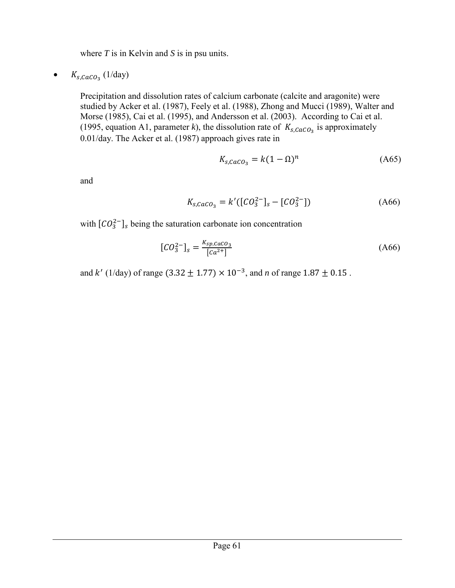where *T* is in Kelvin and *S* is in psu units.

•  $K_{s, CaCO_3}$  (1/day)

Precipitation and dissolution rates of calcium carbonate (calcite and aragonite) were studied by Acker et al. (1987), Feely et al. (1988), Zhong and Mucci (1989), Walter and Morse (1985), Cai et al. (1995), and Andersson et al. (2003). According to Cai et al. (1995, equation A1, parameter *k*), the dissolution rate of  $K_{s, CaCO_3}$  is approximately 0.01/day. The Acker et al. (1987) approach gives rate in

$$
K_{s, CaCO_3} = k(1 - \Omega)^n \tag{A65}
$$

and

$$
K_{s, CaCO_3} = k'([CO_3^{2-}]_s - [CO_3^{2-}])
$$
\n(A66)

with  $[CO_3^{2-}]_s$  being the saturation carbonate ion concentration

$$
[CO_3^{2-}]_s = \frac{K_{sp, CaCO_3}}{[ca^{2+}]}\tag{A66}
$$

and  $k'$  (1/day) of range (3.32  $\pm$  1.77) × 10<sup>-3</sup>, and *n* of range 1.87  $\pm$  0.15.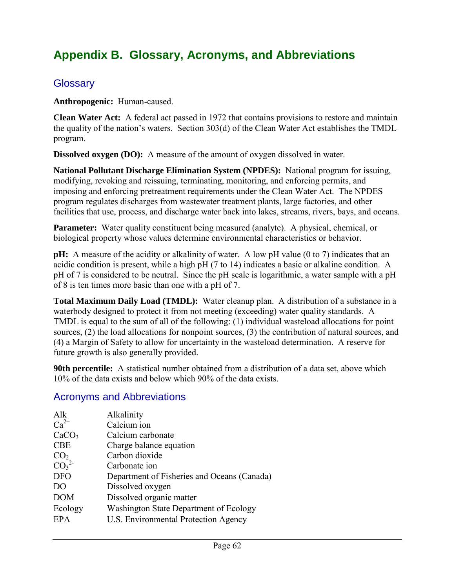### <span id="page-63-0"></span>**Appendix B. Glossary, Acronyms, and Abbreviations**

#### **Glossary**

**Anthropogenic:** Human-caused.

**Clean Water Act:** A federal act passed in 1972 that contains provisions to restore and maintain the quality of the nation's waters. Section 303(d) of the Clean Water Act establishes the TMDL program.

**Dissolved oxygen (DO):** A measure of the amount of oxygen dissolved in water.

**National Pollutant Discharge Elimination System (NPDES):** National program for issuing, modifying, revoking and reissuing, terminating, monitoring, and enforcing permits, and imposing and enforcing pretreatment requirements under the Clean Water Act. The NPDES program regulates discharges from wastewater treatment plants, large factories, and other facilities that use, process, and discharge water back into lakes, streams, rivers, bays, and oceans.

**Parameter:** Water quality constituent being measured (analyte). A physical, chemical, or biological property whose values determine environmental characteristics or behavior.

**pH:** A measure of the acidity or alkalinity of water. A low pH value (0 to 7) indicates that an acidic condition is present, while a high pH (7 to 14) indicates a basic or alkaline condition. A pH of 7 is considered to be neutral. Since the pH scale is logarithmic, a water sample with a pH of 8 is ten times more basic than one with a pH of 7.

**Total Maximum Daily Load (TMDL):** Water cleanup plan. A distribution of a substance in a waterbody designed to protect it from not meeting (exceeding) water quality standards. A TMDL is equal to the sum of all of the following: (1) individual wasteload allocations for point sources, (2) the load allocations for nonpoint sources, (3) the contribution of natural sources, and (4) a Margin of Safety to allow for uncertainty in the wasteload determination. A reserve for future growth is also generally provided.

**90th percentile:** A statistical number obtained from a distribution of a data set, above which 10% of the data exists and below which 90% of the data exists.

#### Acronyms and Abbreviations

| Alk                          | Alkalinity                                  |
|------------------------------|---------------------------------------------|
| $Ca^{2+}$                    | Calcium ion                                 |
| CaCO <sub>3</sub>            | Calcium carbonate                           |
| <b>CBE</b>                   | Charge balance equation                     |
| CO <sub>2</sub>              | Carbon dioxide                              |
| CO <sub>3</sub> <sup>2</sup> | Carbonate ion                               |
| <b>DFO</b>                   | Department of Fisheries and Oceans (Canada) |
| D <sub>O</sub>               | Dissolved oxygen                            |
| <b>DOM</b>                   | Dissolved organic matter                    |
| Ecology                      | Washington State Department of Ecology      |
| EPA                          | U.S. Environmental Protection Agency        |
|                              |                                             |